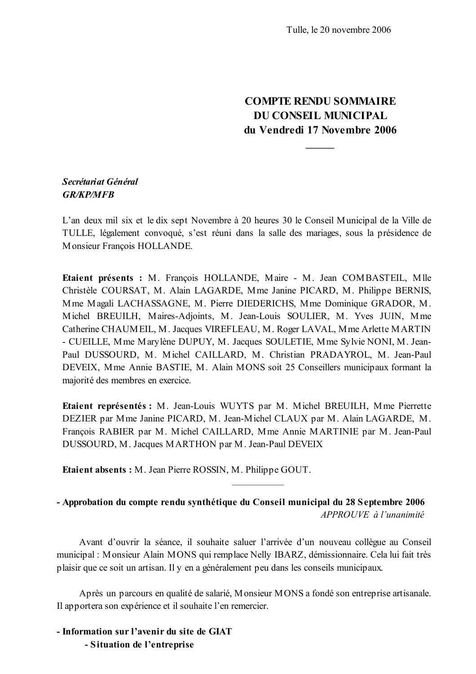## **COMPTE RENDU SOMMAIRE DU CONSEIL MUNICIPAL** du Vendredi 17 Novembre 2006

## Secrétariat Général **GR/KP/MFB**

L'an deux mil six et le dix sept Novembre à 20 heures 30 le Conseil Municipal de la Ville de TULLE, légalement convoqué, s'est réuni dans la salle des mariages, sous la présidence de Monsieur Francois HOLLANDE.

Etaient présents : M. François HOLLANDE, Maire - M. Jean COMBASTEIL, Mlle Christèle COURSAT, M. Alain LAGARDE, Mme Janine PICARD, M. Philippe BERNIS, Mme Magali LACHASSAGNE, M. Pierre DIEDERICHS, Mme Dominique GRADOR, M. Michel BREUILH, Maires-Adjoints, M. Jean-Louis SOULIER, M. Yves JUIN, Mme Catherine CHAUMEIL, M. Jacques VIREFLEAU, M. Roger LAVAL, Mme Arlette MARTIN - CUEILLE, Mme Marylène DUPUY, M. Jacques SOULETIE, Mme Sylvie NONI, M. Jean-Paul DUSSOURD, M. Michel CAILLARD, M. Christian PRADAYROL, M. Jean-Paul DEVEIX, Mme Annie BASTIE, M. Alain MONS soit 25 Conseillers municipaux formant la majorité des membres en exercice.

Etaient représentés : M. Jean-Louis WUYTS par M. Michel BREUILH, Mme Pierrette DEZIER par Mme Janine PICARD, M. Jean-Michel CLAUX par M. Alain LAGARDE, M. François RABIER par M. Michel CAILLARD, Mme Annie MARTINIE par M. Jean-Paul DUSSOURD, M. Jacques MARTHON par M. Jean-Paul DEVEIX

Etaient absents: M. Jean Pierre ROSSIN, M. Philippe GOUT.

- Approbation du compte rendu synthétique du Conseil municipal du 28 Septembre 2006  $APPROIIVE \d0$ <sup>l'</sup>unanimité

Avant d'ouvrir la séance, il souhaite saluer l'arrivée d'un nouveau collègue au Conseil municipal : Monsieur Alain MONS qui remplace Nelly IBARZ, démissionnaire. Cela lui fait très plaisir que ce soit un artisan. Il y en a généralement peu dans les conseils municipaux.

Après un parcours en qualité de salarié, Monsieur MONS a fondé son entreprise artisanale. Il apportera son expérience et il souhaite l'en remercier.

- Information sur l'avenir du site de GIAT - Situation de l'entreprise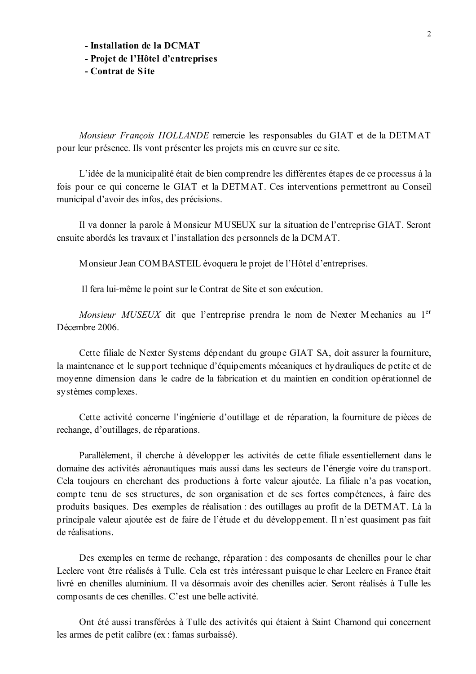- Installation de la DCMAT

- Projet de l'Hôtel d'entreprises

- Contrat de Site

Monsieur François HOLLANDE remercie les responsables du GIAT et de la DETMAT pour leur présence. Ils vont présenter les projets mis en œuvre sur ce site.

L'idée de la municipalité était de bien comprendre les différentes étapes de ce processus à la fois pour ce qui concerne le GIAT et la DETMAT. Ces interventions permettront au Conseil municipal d'avoir des infos, des précisions.

Il va donner la parole à Monsieur MUSEUX sur la situation de l'entreprise GIAT. Seront ensuite abordés les travaux et l'installation des personnels de la DCMAT.

Monsieur Jean COMBASTEIL évoquera le projet de l'Hôtel d'entreprises.

Il fera lui-même le point sur le Contrat de Site et son exécution.

Monsieur MUSEUX dit que l'entreprise prendra le nom de Nexter Mechanics au 1<sup>er</sup> Décembre 2006.

Cette filiale de Nexter Systems dépendant du groupe GIAT SA, doit assurer la fourniture, la maintenance et le support technique d'équipements mécaniques et hydrauliques de petite et de moyenne dimension dans le cadre de la fabrication et du maintien en condition opérationnel de systèmes complexes.

Cette activité concerne l'ingénierie d'outillage et de réparation, la fourniture de pièces de rechange, d'outillages, de réparations.

Parallèlement, il cherche à développer les activités de cette filiale essentiellement dans le domaine des activités aéronautiques mais aussi dans les secteurs de l'énergie voire du transport. Cela toujours en cherchant des productions à forte valeur ajoutée. La filiale n'a pas vocation, compte tenu de ses structures, de son organisation et de ses fortes compétences, à faire des produits basiques. Des exemples de réalisation : des outillages au profit de la DETMAT. Là la principale valeur ajoutée est de faire de l'étude et du développement. Il n'est quasiment pas fait de réalisations

Des exemples en terme de rechange, réparation : des composants de chenilles pour le char Leclerc vont être réalisés à Tulle. Cela est très intéressant puisque le char Leclerc en France était livré en chenilles aluminium. Il va désormais avoir des chenilles acier. Seront réalisés à Tulle les composants de ces chenilles. C'est une belle activité.

Ont été aussi transférées à Tulle des activités qui étaient à Saint Chamond qui concernent les armes de petit calibre (ex : famas surbaissé).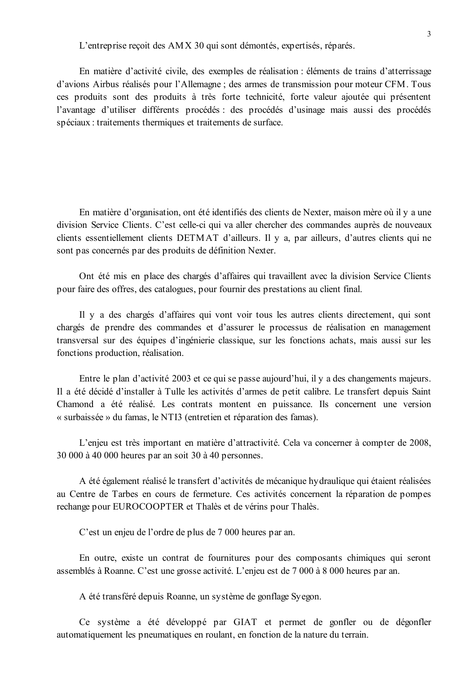L'entreprise reçoit des AMX 30 qui sont démontés, expertisés, réparés.

En matière d'activité civile, des exemples de réalisation : éléments de trains d'atterrissage d'avions Airbus réalisés pour l'Allemagne : des armes de transmission pour moteur CFM. Tous ces produits sont des produits à très forte technicité, forte valeur ajoutée qui présentent l'avantage d'utiliser différents procédés : des procédés d'usinage mais aussi des procédés spéciaux : traitements thermiques et traitements de surface.

En matière d'organisation, ont été identifiés des clients de Nexter, maison mère où il y a une division Service Clients. C'est celle-ci qui va aller chercher des commandes auprès de nouveaux clients essentiellement clients DETMAT d'ailleurs. Il y a, par ailleurs, d'autres clients qui ne sont pas concernés par des produits de définition Nexter.

Ont été mis en place des chargés d'affaires qui travaillent avec la division Service Clients pour faire des offres, des catalogues, pour fournir des prestations au client final.

Il y a des chargés d'affaires qui vont voir tous les autres clients directement, qui sont chargés de prendre des commandes et d'assurer le processus de réalisation en management transversal sur des équipes d'ingénierie classique, sur les fonctions achats, mais aussi sur les fonctions production, réalisation.

Entre le plan d'activité 2003 et ce qui se passe aujourd'hui, il y a des changements majeurs. Il a été décidé d'installer à Tulle les activités d'armes de petit calibre. Le transfert depuis Saint Chamond a été réalisé. Les contrats montent en puissance. Ils concernent une version « surbaissée » du famas, le NTI3 (entretien et réparation des famas).

L'enjeu est très important en matière d'attractivité. Cela va concerner à compter de 2008, 30 000 à 40 000 heures par an soit 30 à 40 personnes.

A été également réalisé le transfert d'activités de mécanique hydraulique qui étaient réalisées au Centre de Tarbes en cours de fermeture. Ces activités concernent la réparation de pompes rechange pour EUROCOOPTER et Thalès et de vérins pour Thalès.

C'est un enjeu de l'ordre de plus de 7 000 heures par an.

En outre, existe un contrat de fournitures pour des composants chimiques qui seront assemblés à Roanne. C'est une grosse activité. L'enjeu est de 7 000 à 8 000 heures par an.

A été transféré depuis Roanne, un système de gonflage Syegon.

Ce système a été développé par GIAT et permet de gonfler ou de dégonfler automatiquement les pneumatiques en roulant, en fonction de la nature du terrain.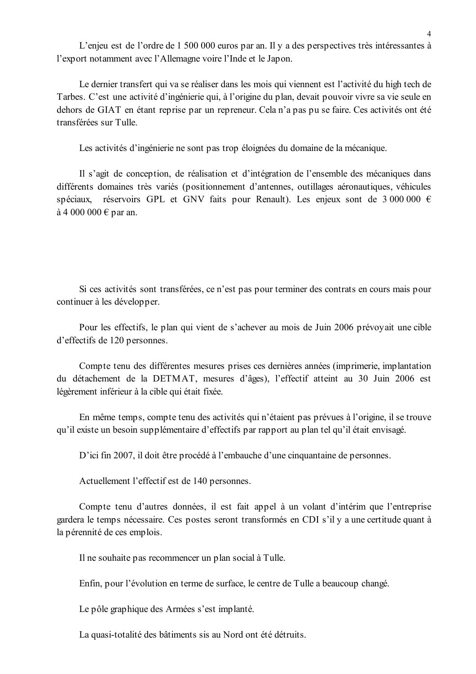L'enjeu est de l'ordre de 1 500 000 euros par an. Il y a des perspectives très intéressantes à l'export notamment avec l'Allemagne voire l'Inde et le Japon.

Le dernier transfert qui va se réaliser dans les mois qui viennent est l'activité du high tech de Tarbes. C'est une activité d'ingénierie qui, à l'origine du plan, devait pouvoir vivre sa vie seule en dehors de GIAT en étant reprise par un repreneur. Cela n'a pas pu se faire. Ces activités ont été transférées sur Tulle

Les activités d'ingénierie ne sont pas trop éloignées du domaine de la mécanique.

Il s'agit de conception, de réalisation et d'intégration de l'ensemble des mécaniques dans différents domaines très variés (positionnement d'antennes, outillages aéronautiques, véhicules réservoirs GPL et GNV faits pour Renault). Les enjeux sont de 3 000 000  $\epsilon$ spéciaux. à 4 000 000 € par an.

Si ces activités sont transférées, ce n'est pas pour terminer des contrats en cours mais pour continuer à les développer.

Pour les effectifs, le plan qui vient de s'achever au mois de Juin 2006 prévoyait une cible d'effectifs de 120 personnes.

Compte tenu des différentes mesures prises ces dernières années (imprimerie, implantation du détachement de la DETMAT, mesures d'âges), l'effectif atteint au 30 Juin 2006 est légèrement inférieur à la cible qui était fixée.

En même temps, compte tenu des activités qui n'étaient pas prévues à l'origine, il se trouve qu'il existe un besoin supplémentaire d'effectifs par rapport au plan tel qu'il était envisagé.

D'ici fin 2007, il doit être procédé à l'embauche d'une cinquantaine de personnes.

Actuellement l'effectif est de 140 personnes.

Compte tenu d'autres données, il est fait appel à un volant d'intérim que l'entreprise gardera le temps nécessaire. Ces postes seront transformés en CDI s'il y a une certitude quant à la pérennité de ces emplois.

Il ne souhaite pas recommencer un plan social à Tulle.

Enfin, pour l'évolution en terme de surface, le centre de Tulle a beaucoup changé.

Le pôle graphique des Armées s'est implanté.

La quasi-totalité des bâtiments sis au Nord ont été détruits.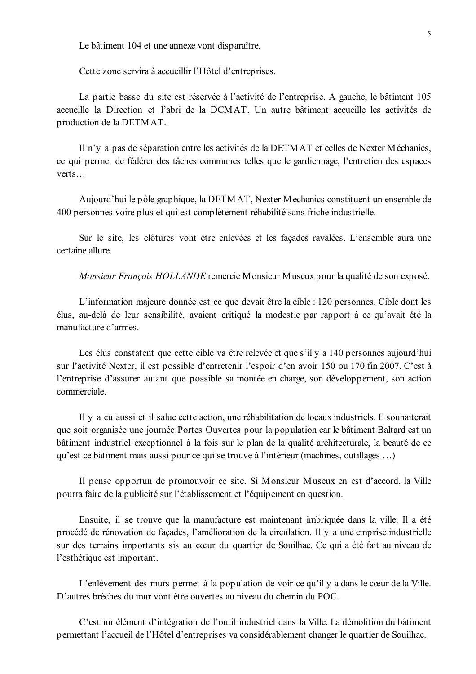Le bâtiment 104 et une annexe vont disparaître.

Cette zone servira à accueillir l'Hôtel d'entreprises.

La partie basse du site est réservée à l'activité de l'entreprise. A gauche, le bâtiment 105 accueille la Direction et l'abri de la DCMAT. Un autre bâtiment accueille les activités de production de la DETMAT.

Il n'y a pas de séparation entre les activités de la DETMAT et celles de Nexter Méchanics, ce qui permet de fédérer des tâches communes telles que le gardiennage, l'entretien des espaces verts

Aujourd'hui le pôle graphique, la DETMAT, Nexter Mechanics constituent un ensemble de 400 personnes voire plus et qui est complètement réhabilité sans friche industrielle.

Sur le site, les clôtures vont être enlevées et les façades ravalées. L'ensemble aura une certaine allure

*Monsieur Francois HOLLANDE* remercie Monsieur Museux pour la qualité de son exposé.

L'information majeure donnée est ce que devait être la cible : 120 personnes. Cible dont les élus, au-delà de leur sensibilité, avaient critiqué la modestie par rapport à ce qu'avait été la manufacture d'armes.

Les élus constatent que cette cible va être relevée et que s'il y a 140 personnes aujourd'hui sur l'activité Nexter, il est possible d'entretenir l'espoir d'en avoir 150 ou 170 fin 2007. C'est à l'entreprise d'assurer autant que possible sa montée en charge, son développement, son action commerciale

Il y a eu aussi et il salue cette action, une réhabilitation de locaux industriels. Il souhaiterait que soit organisée une journée Portes Ouvertes pour la population car le bâtiment Baltard est un bâtiment industriel exceptionnel à la fois sur le plan de la qualité architecturale, la beauté de ce qu'est ce bâtiment mais aussi pour ce qui se trouve à l'intérieur (machines, outillages ...)

Il pense opportun de promouvoir ce site. Si Monsieur Museux en est d'accord, la Ville pourra faire de la publicité sur l'établissement et l'équipement en question.

Ensuite, il se trouve que la manufacture est maintenant imbriquée dans la ville. Il a été procédé de rénovation de façades, l'amélioration de la circulation. Il y a une emprise industrielle sur des terrains importants sis au cœur du quartier de Souilhac. Ce qui a été fait au niveau de l'esthétique est important.

L'enlèvement des murs permet à la population de voir ce qu'il y a dans le cœur de la Ville. D'autres brèches du mur vont être ouvertes au niveau du chemin du POC.

C'est un élément d'intégration de l'outil industriel dans la Ville. La démolition du bâtiment permettant l'accueil de l'Hôtel d'entreprises va considérablement changer le quartier de Souilhac.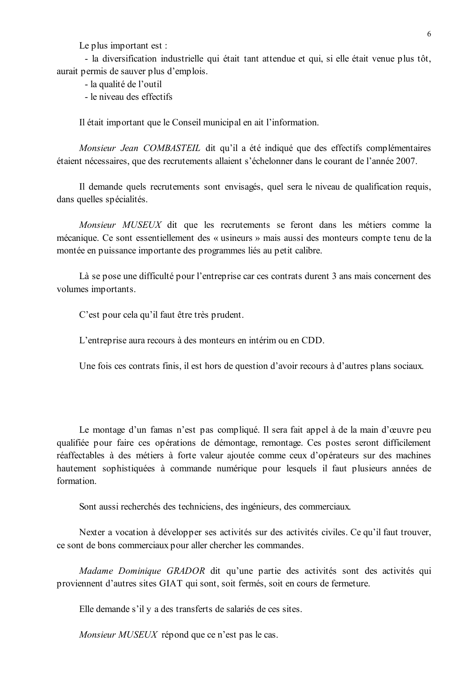Le plus important est :

- la diversification industrielle qui était tant attendue et qui, si elle était venue plus tôt, aurait permis de sauver plus d'emplois.

- la qualité de l'outil

- le niveau des effectifs

Il était important que le Conseil municipal en ait l'information.

Monsieur Jean COMBASTEIL dit qu'il a été indiqué que des effectifs complémentaires étaient nécessaires, que des recrutements allaient s'échelonner dans le courant de l'année 2007.

Il demande quels recrutements sont envisagés, quel sera le niveau de qualification requis, dans quelles spécialités.

Monsieur MUSEUX dit que les recrutements se feront dans les métiers comme la mécanique. Ce sont essentiellement des « usineurs » mais aussi des monteurs compte tenu de la montée en puissance importante des programmes liés au petit calibre.

Là se pose une difficulté pour l'entreprise car ces contrats durent 3 ans mais concernent des volumes importants.

C'est pour cela qu'il faut être très prudent.

L'entreprise aura recours à des monteurs en intérim ou en CDD.

Une fois ces contrats finis, il est hors de question d'avoir recours à d'autres plans sociaux.

Le montage d'un famas n'est pas compliqué. Il sera fait appel à de la main d'œuvre peu qualifiée pour faire ces opérations de démontage, remontage. Ces postes seront difficilement réaffectables à des métiers à forte valeur ajoutée comme ceux d'opérateurs sur des machines hautement sophistiquées à commande numérique pour lesquels il faut plusieurs années de formation

Sont aussi recherchés des techniciens, des ingénieurs, des commerciaux.

Nexter a vocation à développer ses activités sur des activités civiles. Ce qu'il faut trouver, ce sont de bons commerciaux pour aller chercher les commandes.

Madame Dominique GRADOR dit qu'une partie des activités sont des activités qui proviennent d'autres sites GIAT qui sont, soit fermés, soit en cours de fermeture.

Elle demande s'il y a des transferts de salariés de ces sites.

Monsieur MUSEUX répond que ce n'est pas le cas.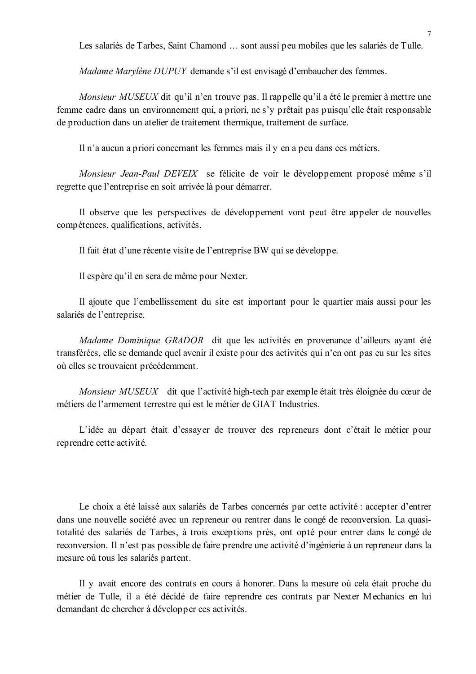Les salariés de Tarbes, Saint Chamond ... sont aussi peu mobiles que les salariés de Tulle.

Madame Marylène DUPUY demande s'il est envisagé d'embaucher des femmes.

Monsieur MUSEUX dit qu'il n'en trouve pas. Il rappelle qu'il a été le premier à mettre une femme cadre dans un environnement qui, a priori, ne s'y prêtait pas puisqu'elle était responsable de production dans un atelier de traitement thermique, traitement de surface.

Il n'a aucun a priori concernant les femmes mais il y en a peu dans ces métiers.

Monsieur Jean-Paul DEVEIX se félicite de voir le développement proposé même s'il regrette que l'entreprise en soit arrivée là pour démarrer.

Il observe que les perspectives de développement vont peut être appeler de nouvelles compétences, qualifications, activités.

Il fait état d'une récente visite de l'entreprise BW qui se développe.

Il espère qu'il en sera de même pour Nexter.

Il ajoute que l'embellissement du site est important pour le quartier mais aussi pour les salariés de l'entreprise.

Madame Dominique GRADOR dit que les activités en provenance d'ailleurs ayant été transférées, elle se demande quel avenir il existe pour des activités qui n'en ont pas eu sur les sites où elles se trouvaient précédemment.

Monsieur MUSEUX dit que l'activité high-tech par exemple était très éloignée du cœur de métiers de l'armement terrestre qui est le métier de GIAT Industries.

L'idée au départ était d'essayer de trouver des repreneurs dont c'était le métier pour reprendre cette activité.

Le choix a été laissé aux salariés de Tarbes concernés par cette activité : accepter d'entrer dans une nouvelle société avec un repreneur ou rentrer dans le congé de reconversion. La quasitotalité des salariés de Tarbes, à trois exceptions près, ont opté pour entrer dans le congé de reconversion. Il n'est pas possible de faire prendre une activité d'ingénierie à un repreneur dans la mesure où tous les salariés partent.

Il y avait encore des contrats en cours à honorer. Dans la mesure où cela était proche du métier de Tulle, il a été décidé de faire reprendre ces contrats par Nexter Mechanics en lui demandant de chercher à développer ces activités.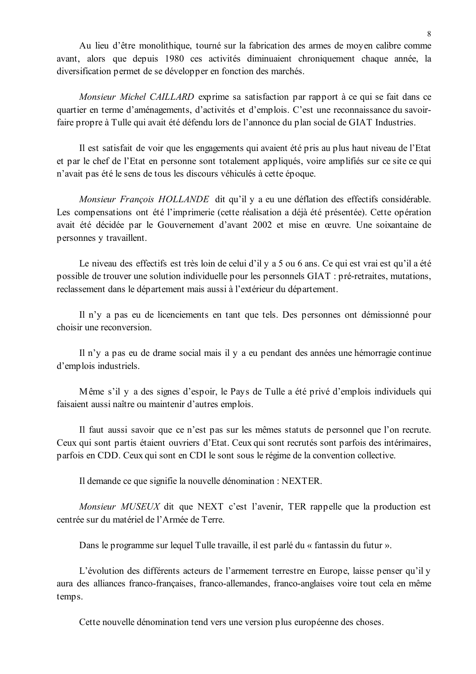Au lieu d'être monolithique, tourné sur la fabrication des armes de moyen calibre comme avant, alors que depuis 1980 ces activités diminuaient chroniquement chaque année, la diversification permet de se développer en fonction des marchés.

Monsieur Michel CAILLARD exprime sa satisfaction par rapport à ce qui se fait dans ce quartier en terme d'aménagements, d'activités et d'emplois. C'est une reconnaissance du savoirfaire propre à Tulle qui avait été défendu lors de l'annonce du plan social de GIAT Industries.

Il est satisfait de voir que les engagements qui avaient été pris au plus haut niveau de l'Etat et par le chef de l'Etat en personne sont totalement appliqués, voire amplifiés sur ce site ce qui n'avait pas été le sens de tous les discours véhiculés à cette époque.

*Monsieur Francois HOLLANDE* dit qu'il y a eu une déflation des effectifs considérable. Les compensations ont été l'imprimerie (cette réalisation a déjà été présentée). Cette opération avait été décidée par le Gouvernement d'avant 2002 et mise en œuvre. Une soixantaine de personnes y travaillent.

Le niveau des effectifs est très loin de celui d'il y a 5 ou 6 ans. Ce qui est vrai est qu'il a été possible de trouver une solution individuelle pour les personnels GIAT : pré-retraites, mutations, reclassement dans le département mais aussi à l'extérieur du département.

Il n'y a pas eu de licenciements en tant que tels. Des personnes ont démissionné pour choisir une reconversion.

Il n'y a pas eu de drame social mais il y a eu pendant des années une hémorragie continue d'emplois industriels.

Même s'il y a des signes d'espoir, le Pays de Tulle a été privé d'emplois individuels qui faisaient aussi naître ou maintenir d'autres emplois.

Il faut aussi savoir que ce n'est pas sur les mêmes statuts de personnel que l'on recrute. Ceux qui sont partis étaient ouvriers d'Etat. Ceux qui sont recrutés sont parfois des intérimaires, parfois en CDD. Ceux qui sont en CDI le sont sous le régime de la convention collective.

Il demande ce que signifie la nouvelle dénomination : NEXTER.

Monsieur MUSEUX dit que NEXT c'est l'avenir, TER rappelle que la production est centrée sur du matériel de l'Armée de Terre.

Dans le programme sur lequel Tulle travaille, il est parlé du « fantassin du futur ».

L'évolution des différents acteurs de l'armement terrestre en Europe, laisse penser qu'il y aura des alliances franco-françaises, franco-allemandes, franco-anglaises voire tout cela en même temps.

Cette nouvelle dénomination tend vers une version plus européenne des choses.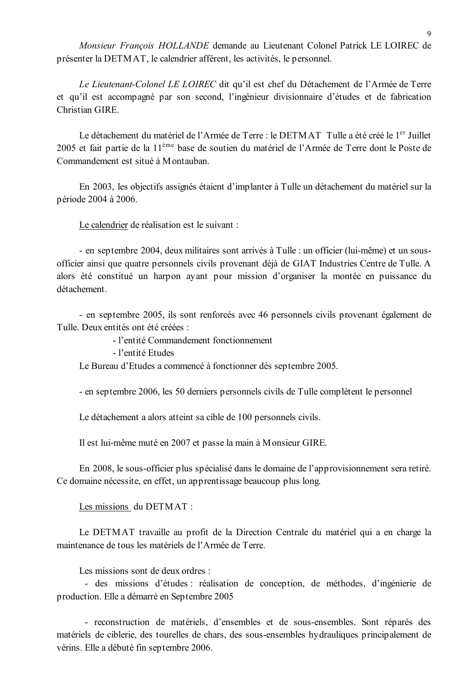Monsieur François HOLLANDE demande au Lieutenant Colonel Patrick LE LOIREC de présenter la DETMAT, le calendrier afférent, les activités, le personnel.

Le Lieutenant-Colonel LE LOIREC dit qu'il est chef du Détachement de l'Armée de Terre et qu'il est accompagné par son second, l'ingénieur divisionnaire d'études et de fabrication Christian GIRE.

Le détachement du matériel de l'Armée de Terre : le DETMAT Tulle a été créé le 1<sup>er</sup> Juillet 2005 et fait partie de la 11<sup>ème</sup> base de soutien du matériel de l'Armée de Terre dont le Poste de Commandement est situé à Montauban

En 2003, les objectifs assignés étaient d'implanter à Tulle un détachement du matériel sur la période 2004 à 2006.

Le calendrier de réalisation est le suivant :

- en septembre 2004, deux militaires sont arrivés à Tulle : un officier (lui-même) et un sousofficier ainsi que quatre personnels civils provenant déjà de GIAT Industries Centre de Tulle. A alors été constitué un harpon avant pour mission d'organiser la montée en puissance du détachement

- en septembre 2005, ils sont renforcés avec 46 personnels civils provenant également de Tulle. Deux entités ont été créées ·

- l'entité Commandement fonctionnement

- l'entité Etudes

Le Bureau d'Etudes a commencé à fonctionner dès septembre 2005.

- en septembre 2006, les 50 derniers personnels civils de Tulle complètent le personnel

Le détachement a alors atteint sa cible de 100 personnels civils.

Il est lui-même muté en 2007 et passe la main à Monsieur GIRE.

En 2008, le sous-officier plus spécialisé dans le domaine de l'approvisionnement sera retiré. Ce domaine nécessite, en effet, un apprentissage beaucoup plus long.

Les missions du DETMAT :

Le DETMAT travaille au profit de la Direction Centrale du matériel qui a en charge la maintenance de tous les matériels de l'Armée de Terre.

Les missions sont de deux ordres ·

- des missions d'études : réalisation de conception, de méthodes, d'ingénierie de production. Elle a démarré en Septembre 2005

- reconstruction de matériels, d'ensembles et de sous-ensembles. Sont réparés des matériels de ciblerie, des tourelles de chars, des sous-ensembles hydrauliques principalement de vérins. Elle a débuté fin septembre 2006.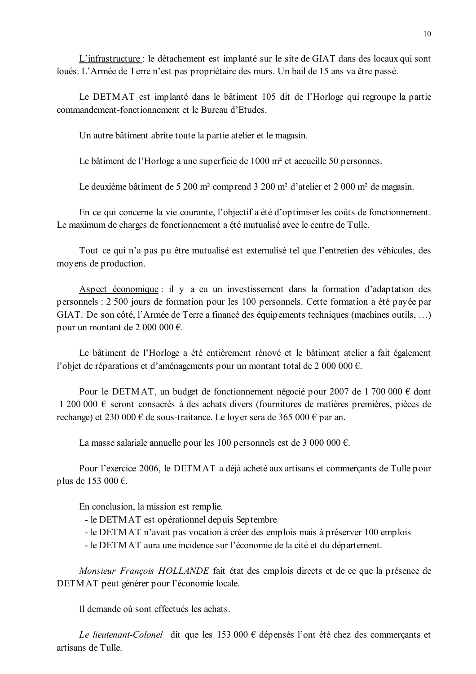L'infrastructure : le détachement est implanté sur le site de GIAT dans des locaux qui sont loués. L'Armée de Terre n'est pas propriétaire des murs. Un bail de 15 ans va être passé.

Le DETMAT est implanté dans le bâtiment 105 dit de l'Horloge qui regroupe la partie commandement-fonctionnement et le Bureau d'Etudes.

Un autre bâtiment abrite toute la partie atelier et le magasin.

Le bâtiment de l'Horloge a une superficie de 1000 m<sup>2</sup> et accueille 50 personnes.

Le deuxième bâtiment de 5 200 m<sup>2</sup> comprend 3 200 m<sup>2</sup> d'atelier et 2 000 m<sup>2</sup> de magasin.

En ce qui concerne la vie courante, l'objectif a été d'optimiser les coûts de fonctionnement. Le maximum de charges de fonctionnement a été mutualisé avec le centre de Tulle.

Tout ce qui n'a pas pu être mutualisé est externalisé tel que l'entretien des véhicules, des moyens de production.

Aspect économique : il y a eu un investissement dans la formation d'adaptation des personnels : 2 500 jours de formation pour les 100 personnels. Cette formation a été payée par GIAT. De son côté, l'Armée de Terre a financé des équipements techniques (machines outils, ...) pour un montant de 2 000 000  $\epsilon$ .

Le bâtiment de l'Horloge a été entièrement rénové et le bâtiment atelier a fait également l'objet de réparations et d'aménagements pour un montant total de 2 000 000  $\epsilon$ .

Pour le DETMAT, un budget de fonctionnement négocié pour 2007 de 1 700 000  $\epsilon$  dont  $1200000 \text{ } \in \text{ 1200 000}$  seront consacrés à des achats divers (fournitures de matières premières, pièces de rechange) et 230 000 € de sous-traitance. Le loyer sera de 365 000 € par an.

La masse salariale annuelle pour les 100 personnels est de 3 000 000  $\epsilon$ .

Pour l'exercice 2006, le DETMAT a déjà acheté aux artisans et commercants de Tulle pour plus de 153 000  $\epsilon$ .

En conclusion, la mission est remplie.

- le DETMAT est opérationnel depuis Septembre

- le DETMAT n'avait pas vocation à créer des emplois mais à préserver 100 emplois

- le DETMAT aura une incidence sur l'économie de la cité et du département.

Monsieur François HOLLANDE fait état des emplois directs et de ce que la présence de DETMAT peut générer pour l'économie locale.

Il demande où sont effectués les achats

Le lieutenant-Colonel dit que les 153 000 € dépensés l'ont été chez des commerçants et artisans de Tulle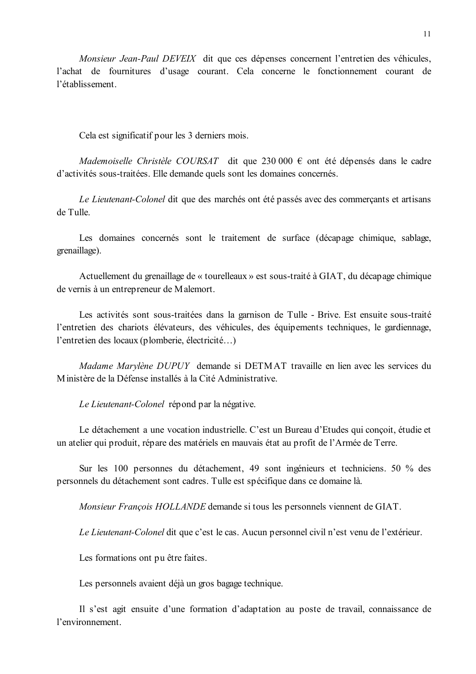*Monsieur Jean-Paul DEVEIX* dit que ces dépenses concernent l'entretien des véhicules, l'achat de fournitures d'usage courant. Cela concerne le fonctionnement courant de l'établissement.

Cela est significatif pour les 3 derniers mois.

Mademoiselle Christèle COURSAT dit que 230 000  $\epsilon$  ont été dépensés dans le cadre d'activités sous-traitées. Elle demande quels sont les domaines concernés.

Le Lieutenant-Colonel dit que des marchés ont été passés avec des commercants et artisans de Tulle

Les domaines concernés sont le traitement de surface (décapage chimique, sablage, grenaillage).

Actuellement du grenaillage de « tourelleaux » est sous-traité à GIAT, du décapage chimique de vernis à un entrepreneur de Malemort.

Les activités sont sous-traitées dans la garnison de Tulle - Brive. Est ensuite sous-traité l'entretien des chariots élévateurs, des véhicules, des équipements techniques, le gardiennage, l'entretien des locaux (plomberie, électricité...)

*Madame Marviène DUPUY* demande si DETMAT travaille en lien avec les services du Ministère de la Défense installés à la Cité Administrative

Le Lieutenant-Colonel répond par la négative.

Le détachement a une vocation industrielle. C'est un Bureau d'Etudes qui conçoit, étudie et un atelier qui produit, répare des matériels en mauvais état au profit de l'Armée de Terre.

Sur les 100 personnes du détachement, 49 sont ingénieurs et techniciens. 50 % des personnels du détachement sont cadres. Tulle est spécifique dans ce domaine là.

Monsieur François HOLLANDE demande si tous les personnels viennent de GIAT.

Le Lieutenant-Colonel dit que c'est le cas. Aucun personnel civil n'est venu de l'extérieur.

Les formations ont pu être faites.

Les personnels avaient déjà un gros bagage technique.

Il s'est agit ensuite d'une formation d'adaptation au poste de travail, connaissance de l'environnement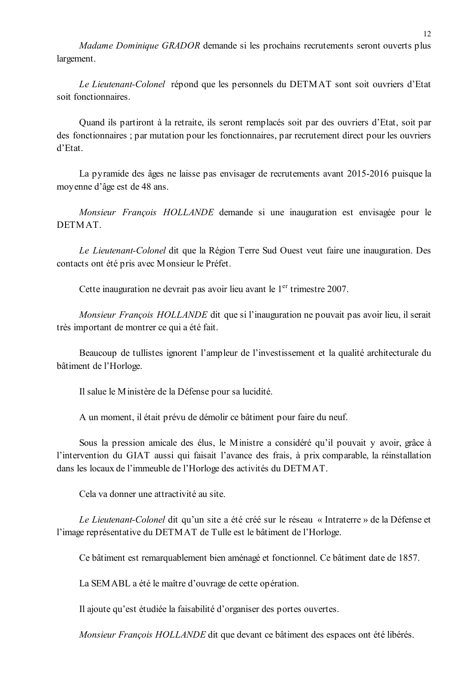Madame Dominique GRADOR demande si les prochains recrutements seront ouverts plus largement.

Le Lieutenant-Colonel répond que les personnels du DETMAT sont soit ouvriers d'Etat soit fonctionnaires

Quand ils partiront à la retraite, ils seront remplacés soit par des ouvriers d'Etat, soit par des fonctionnaires ; par mutation pour les fonctionnaires, par recrutement direct pour les ouvriers  $d'Et$ at

La pyramide des âges ne laisse pas envisager de recrutements avant 2015-2016 puisque la moyenne d'âge est de 48 ans.

Monsieur François HOLLANDE demande si une inauguration est envisagée pour le **DETMAT** 

Le Lieutenant-Colonel dit que la Région Terre Sud Ouest veut faire une inauguration. Des contacts ont été pris avec Monsieur le Préfet.

Cette inauguration ne devrait pas avoir lieu avant le  $1<sup>er</sup>$  trimestre 2007.

Monsieur François HOLLANDE dit que si l'inauguration ne pouvait pas avoir lieu, il serait très important de montrer ce qui a été fait.

Beaucoup de tullistes ignorent l'ampleur de l'investissement et la qualité architecturale du bâtiment de l'Horloge.

Il salue le Ministère de la Défense pour sa lucidité.

A un moment, il était prévu de démolir ce bâtiment pour faire du neuf.

Sous la pression amicale des élus, le Ministre a considéré qu'il pouvait y avoir, grâce à l'intervention du GIAT aussi qui faisait l'avance des frais, à prix comparable, la réinstallation dans les locaux de l'immeuble de l'Horloge des activités du DETMAT.

Cela va donner une attractivité au site.

Le Lieutenant-Colonel dit qu'un site a été créé sur le réseau « Intraterre » de la Défense et l'image représentative du DETMAT de Tulle est le bâtiment de l'Horloge.

Ce bâtiment est remarquablement bien aménagé et fonctionnel. Ce bâtiment date de 1857.

La SEMABL a été le maître d'ouvrage de cette opération.

Il ajoute qu'est étudiée la faisabilité d'organiser des portes ouvertes.

Monsieur François HOLLANDE dit que devant ce bâtiment des espaces ont été libérés.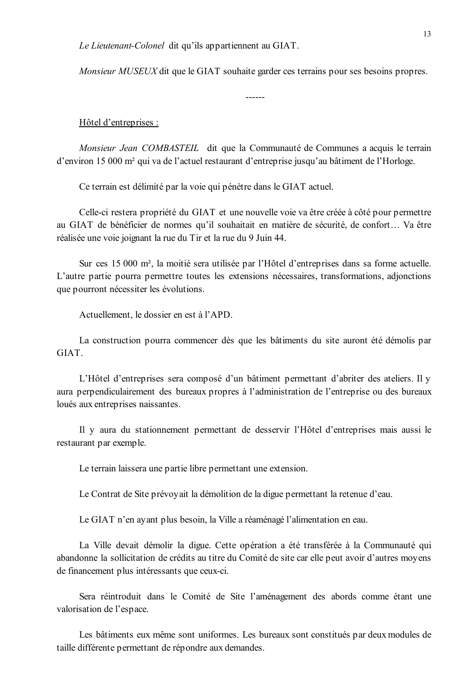Le Lieutenant-Colonel dit qu'ils appartiennent au GIAT.

*Monsieur MUSEUX* dit que le GIAT souhaite garder ces terrains pour ses besoins propres.

#### Hôtel d'entreprises :

Monsieur Jean COMBASTEIL dit que la Communauté de Communes a acquis le terrain d'environ 15 000 m<sup>2</sup> qui va de l'actuel restaurant d'entreprise jusqu'au bâtiment de l'Horloge.

Ce terrain est délimité par la voie qui pénètre dans le GIAT actuel.

Celle-ci restera propriété du GIAT et une nouvelle voie va être créée à côté pour permettre au GIAT de bénéficier de normes qu'il souhaitait en matière de sécurité, de confort... Va être réalisée une voie joignant la rue du Tir et la rue du 9 Juin 44.

Sur ces 15 000 m<sup>2</sup>, la moitié sera utilisée par l'Hôtel d'entreprises dans sa forme actuelle. L'autre partie pourra permettre toutes les extensions nécessaires, transformations, adjonctions que pourront nécessiter les évolutions.

Actuellement, le dossier en est à l'APD.

La construction pourra commencer dès que les bâtiments du site auront été démolis par GIAT.

L'Hôtel d'entreprises sera composé d'un bâtiment permettant d'abriter des ateliers. Il y aura perpendiculairement des bureaux propres à l'administration de l'entreprise ou des bureaux loués aux entreprises naissantes.

Il y aura du stationnement permettant de desservir l'Hôtel d'entreprises mais aussi le restaurant par exemple.

Le terrain laissera une partie libre permettant une extension.

Le Contrat de Site prévoyait la démolition de la digue permettant la retenue d'eau.

Le GIAT n'en ayant plus besoin, la Ville a réaménagé l'alimentation en eau.

La Ville devait démolir la digue. Cette opération a été transférée à la Communauté qui abandonne la sollicitation de crédits au titre du Comité de site car elle peut avoir d'autres moyens de financement plus intéressants que ceux-ci.

Sera réintroduit dans le Comité de Site l'aménagement des abords comme étant une valorisation de l'espace.

Les bâtiments eux même sont uniformes. Les bureaux sont constitués par deux modules de taille différente permettant de répondre aux demandes.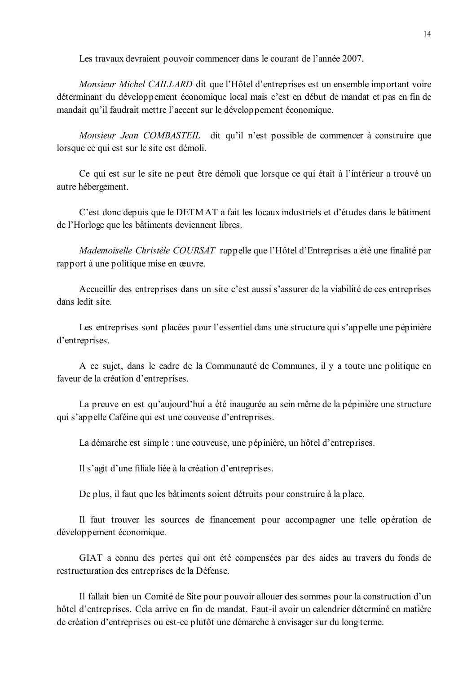Les travaux devraient pouvoir commencer dans le courant de l'année 2007.

*Monsieur Michel CAILLARD* dit que l'Hôtel d'entreprises est un ensemble important voire déterminant du développement économique local mais c'est en début de mandat et pas en fin de mandait qu'il faudrait mettre l'accent sur le développement économique.

Monsieur Jean COMBASTEIL dit qu'il n'est possible de commencer à construire que lorsque ce qui est sur le site est démoli.

Ce qui est sur le site ne peut être démoli que lorsque ce qui était à l'intérieur a trouvé un autre hébergement.

C'est donc depuis que le DETMAT a fait les locaux industriels et d'études dans le bâtiment de l'Horloge que les bâtiments deviennent libres.

Mademoiselle Christèle COURSAT rappelle que l'Hôtel d'Entreprises a été une finalité par rapport à une politique mise en œuvre.

Accueillir des entreprises dans un site c'est aussi s'assurer de la viabilité de ces entreprises dans ledit site

Les entreprises sont placées pour l'essentiel dans une structure qui s'appelle une pépinière d'entreprises.

A ce sujet, dans le cadre de la Communauté de Communes, il y a toute une politique en faveur de la création d'entreprises.

La preuve en est qu'aujourd'hui a été inaugurée au sein même de la pépinière une structure qui s'appelle Caféine qui est une couveuse d'entreprises.

La démarche est simple : une couveuse, une pépinière, un hôtel d'entreprises.

Il s'agit d'une filiale liée à la création d'entreprises.

De plus, il faut que les bâtiments soient détruits pour construire à la place.

Il faut trouver les sources de financement pour accompagner une telle opération de développement économique.

GIAT a connu des pertes qui ont été compensées par des aides au travers du fonds de restructuration des entreprises de la Défense.

Il fallait bien un Comité de Site pour pouvoir allouer des sommes pour la construction d'un hôtel d'entreprises. Cela arrive en fin de mandat. Faut-il avoir un calendrier déterminé en matière de création d'entreprises ou est-ce plutôt une démarche à envisager sur du long terme.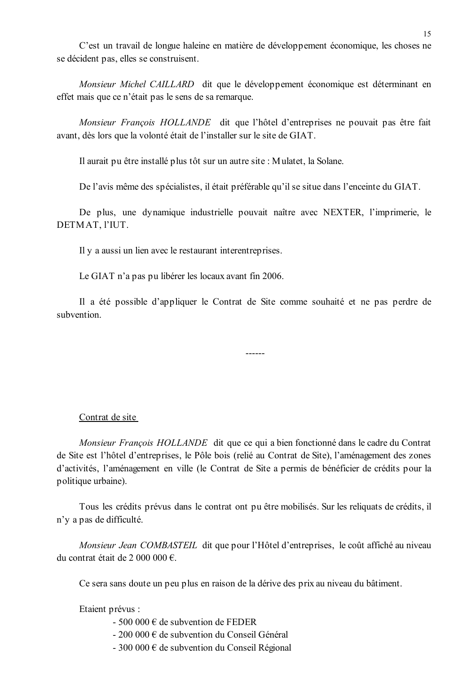C'est un travail de longue haleine en matière de développement économique, les choses ne se décident pas, elles se construisent.

Monsieur Michel CAILLARD dit que le développement économique est déterminant en effet mais que ce n'était pas le sens de sa remarque.

Monsieur François HOLLANDE dit que l'hôtel d'entreprises ne pouvait pas être fait avant, dès lors que la volonté était de l'installer sur le site de GIAT.

Il aurait pu être installé plus tôt sur un autre site : Mulatet, la Solane.

De l'avis même des spécialistes, il était préférable qu'il se situe dans l'enceinte du GIAT.

De plus, une dynamique industrielle pouvait naître avec NEXTER, l'imprimerie, le DETMAT, l'IUT.

Il y a aussi un lien avec le restaurant interentreprises.

Le GIAT n'a pas pu libérer les locaux avant fin 2006.

Il a été possible d'appliquer le Contrat de Site comme souhaité et ne pas perdre de subvention

 $- - - - - -$ 

### Contrat de site

*Monsieur Francois HOLLANDE* dit que ce qui a bien fonctionné dans le cadre du Contrat de Site est l'hôtel d'entreprises, le Pôle bois (relié au Contrat de Site), l'aménagement des zones d'activités, l'aménagement en ville (le Contrat de Site a permis de bénéficier de crédits pour la politique urbaine).

Tous les crédits prévus dans le contrat ont pu être mobilisés. Sur les reliquats de crédits, il n'y a pas de difficulté.

Monsieur Jean COMBASTEIL dit que pour l'Hôtel d'entreprises, le coût affiché au niveau du contrat était de 2 000 000  $\epsilon$ 

Ce sera sans doute un peu plus en raison de la dérive des prix au niveau du bâtiment.

Etaient prévus :

- $-500000 \in$  de subvention de FEDER
- 200 000 € de subvention du Conseil Général
- 300 000  $\epsilon$  de subvention du Conseil Régional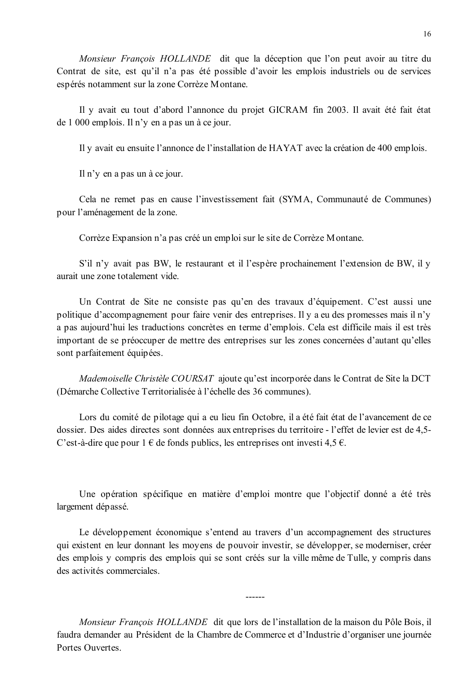Monsieur François HOLLANDE dit que la déception que l'on peut avoir au titre du Contrat de site, est qu'il n'a pas été possible d'avoir les emplois industriels ou de services espérés notamment sur la zone Corrèze Montane.

Il y avait eu tout d'abord l'annonce du projet GICRAM fin 2003. Il avait été fait état de 1 000 emplois. Il n'y en a pas un à ce jour.

Il y avait eu ensuite l'annonce de l'installation de HAYAT avec la création de 400 emplois.

Il n'y en a pas un à ce jour.

Cela ne remet pas en cause l'investissement fait (SYMA, Communauté de Communes) pour l'aménagement de la zone.

Corrèze Expansion n'a pas créé un emploi sur le site de Corrèze Montane.

S'il n'y avait pas BW, le restaurant et il l'espère prochainement l'extension de BW, il y aurait une zone totalement vide.

Un Contrat de Site ne consiste pas qu'en des travaux d'équipement. C'est aussi une politique d'accompagnement pour faire venir des entreprises. Il y a eu des promesses mais il n'y a pas aujourd'hui les traductions concrètes en terme d'emplois. Cela est difficile mais il est très important de se préoccuper de mettre des entreprises sur les zones concernées d'autant qu'elles sont parfaitement équipées.

Mademoiselle Christèle COURSAT ajoute qu'est incorporée dans le Contrat de Site la DCT (Démarche Collective Territorialisée à l'échelle des 36 communes).

Lors du comité de pilotage qui a eu lieu fin Octobre, il a été fait état de l'avancement de ce dossier. Des aides directes sont données aux entreprises du territoire - l'effet de levier est de 4,5-C'est-à-dire que pour  $1 \in \text{de fonds}$  publics, les entreprises ont investi 4.5  $\in$ .

Une opération spécifique en matière d'emploi montre que l'objectif donné a été très largement dépassé.

Le développement économique s'entend au travers d'un accompagnement des structures qui existent en leur donnant les moyens de pouvoir investir, se développer, se moderniser, créer des emplois y compris des emplois qui se sont créés sur la ville même de Tulle, y compris dans des activités commerciales

Monsieur François HOLLANDE dit que lors de l'installation de la maison du Pôle Bois, il faudra demander au Président de la Chambre de Commerce et d'Industrie d'organiser une journée Portes Ouvertes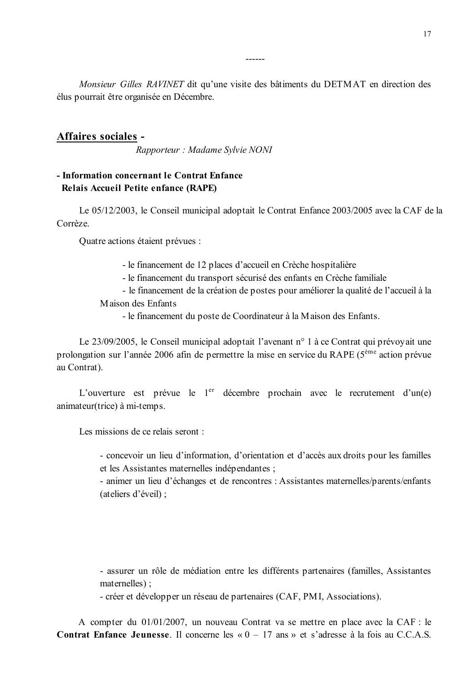Monsieur Gilles RAVINET dit qu'une visite des bâtiments du DETMAT en direction des élus pourrait être organisée en Décembre.

------

### **Affaires sociales -**

Rapporteur : Madame Sylvie NONI

## - Information concernant le Contrat Enfance Relais Accueil Petite enfance (RAPE)

Le 05/12/2003, le Conseil municipal adoptait le Contrat Enfance 2003/2005 avec la CAF de la Corrèze

Ouatre actions étaient prévues :

- le financement de 12 places d'accueil en Crèche hospitalière

- le financement du transport sécurisé des enfants en Crèche familiale

- le financement de la création de postes pour améliorer la qualité de l'accueil à la Maison des Enfants

- le financement du poste de Coordinateur à la Maison des Enfants.

Le 23/09/2005, le Conseil municipal adoptait l'avenant n° 1 à ce Contrat qui prévoyait une prolongation sur l'année 2006 afin de permettre la mise en service du RAPE ( $5^{\text{eme}}$  action prévue au Contrat).

L'ouverture est prévue le 1<sup>er</sup> décembre prochain avec le recrutement d'un(e) animateur(trice) à mi-temps.

Les missions de ce relais seront :

- concevoir un lieu d'information, d'orientation et d'accès aux droits pour les familles et les Assistantes maternelles indépendantes ;

- animer un lieu d'échanges et de rencontres : Assistantes maternelles/parents/enfants (ateliers d'éveil);

- assurer un rôle de médiation entre les différents partenaires (familles, Assistantes maternelles):

- créer et développer un réseau de partenaires (CAF, PMI, Associations).

A compter du 01/01/2007, un nouveau Contrat va se mettre en place avec la CAF : le **Contrat Enfance Jeunesse**. Il concerne les «  $0 - 17$  ans » et s'adresse à la fois au C.C.A.S.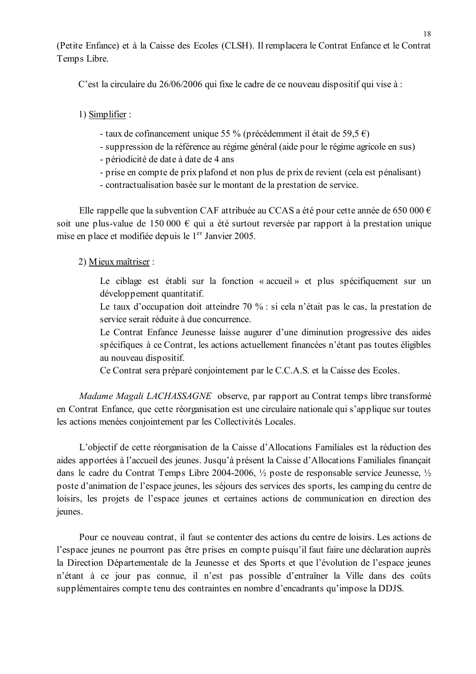(Petite Enfance) et à la Caisse des Ecoles (CLSH). Il remplacera le Contrat Enfance et le Contrat Temps Libre.

C'est la circulaire du 26/06/2006 qui fixe le cadre de ce nouveau dispositif qui vise à:

1) Simplifier :

- taux de cofinancement unique 55 % (précédemment il était de 59,5 €)
- suppression de la référence au régime général (aide pour le régime agricole en sus)
- périodicité de date à date de 4 ans
- prise en compte de prix plafond et non plus de prix de revient (cela est pénalisant)
- contractualisation basée sur le montant de la prestation de service.

Elle rappelle que la subvention CAF attribuée au CCAS a été pour cette année de 650 000  $\epsilon$ soit une plus-value de 150 000  $\epsilon$  qui a été surtout reversée par rapport à la prestation unique mise en place et modifiée depuis le 1<sup>er</sup> Janvier 2005.

### 2) Mieux maîtriser :

Le ciblage est établi sur la fonction « accueil » et plus spécifiquement sur un développement quantitatif.

Le taux d'occupation doit atteindre 70 % : si cela n'était pas le cas, la prestation de service serait réduite à due concurrence.

Le Contrat Enfance Jeunesse laisse augurer d'une diminution progressive des aides spécifiques à ce Contrat, les actions actuellement financées n'étant pas toutes éligibles au nouveau dispositif.

Ce Contrat sera préparé conjointement par le C.C.A.S. et la Caisse des Ecoles.

Madame Magali LACHASSAGNE observe, par rapport au Contrat temps libre transformé en Contrat Enfance, que cette réorganisation est une circulaire nationale qui s'applique sur toutes les actions menées conjointement par les Collectivités Locales.

L'objectif de cette réorganisation de la Caisse d'Allocations Familiales est la réduction des aides apportées à l'accueil des jeunes. Jusqu'à présent la Caisse d'Allocations Familiales financait dans le cadre du Contrat Temps Libre 2004-2006,  $\frac{1}{2}$  poste de responsable service Jeunesse,  $\frac{1}{2}$ poste d'animation de l'espace jeunes, les séjours des services des sports, les camping du centre de loisirs, les projets de l'espace jeunes et certaines actions de communication en direction des jeunes.

Pour ce nouveau contrat, il faut se contenter des actions du centre de loisirs. Les actions de l'espace jeunes ne pourront pas être prises en compte puisqu'il faut faire une déclaration auprès la Direction Départementale de la Jeunesse et des Sports et que l'évolution de l'espace jeunes n'étant à ce jour pas connue, il n'est pas possible d'entraîner la Ville dans des coûts supplémentaires compte tenu des contraintes en nombre d'encadrants qu'impose la DDJS.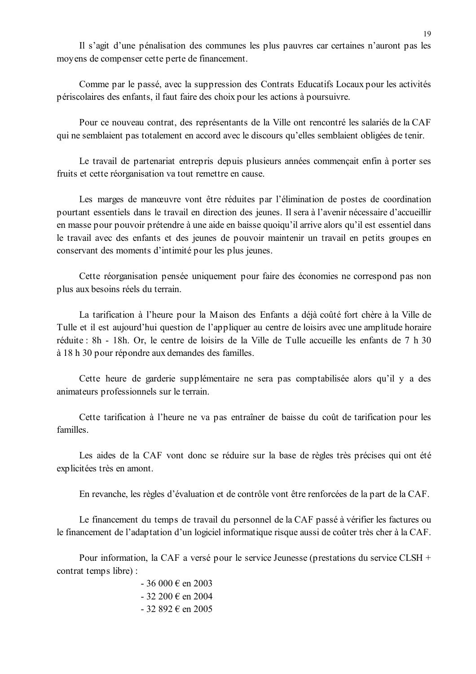Il s'agit d'une pénalisation des communes les plus pauvres car certaines n'auront pas les moyens de compenser cette perte de financement.

Comme par le passé, avec la suppression des Contrats Educatifs Locaux pour les activités périscolaires des enfants, il faut faire des choix pour les actions à poursuivre.

Pour ce nouveau contrat, des représentants de la Ville ont rencontré les salariés de la CAF qui ne semblaient pas totalement en accord avec le discours qu'elles semblaient obligées de tenir.

Le travail de partenariat entrepris depuis plusieurs années commençait enfin à porter ses fruits et cette réorganisation va tout remettre en cause.

Les marges de manœuvre vont être réduites par l'élimination de postes de coordination pourtant essentiels dans le travail en direction des jeunes. Il sera à l'avenir nécessaire d'accueillir en masse pour pouvoir prétendre à une aide en baisse quoiqu'il arrive alors qu'il est essentiel dans le travail avec des enfants et des jeunes de pouvoir maintenir un travail en petits groupes en conservant des moments d'intimité pour les plus jeunes.

Cette réorganisation pensée uniquement pour faire des économies ne correspond pas non plus aux besoins réels du terrain.

La tarification à l'heure pour la Maison des Enfants a déjà coûté fort chère à la Ville de Tulle et il est aujourd'hui question de l'appliquer au centre de loisirs avec une amplitude horaire réduite : 8h - 18h. Or, le centre de loisirs de la Ville de Tulle accueille les enfants de 7 h 30 à 18 h 30 pour répondre aux demandes des familles.

Cette heure de garderie supplémentaire ne sera pas comptabilisée alors qu'il y a des animateurs professionnels sur le terrain.

Cette tarification à l'heure ne va pas entraîner de baisse du coût de tarification pour les familles.

Les aides de la CAF vont donc se réduire sur la base de règles très précises qui ont été explicitées très en amont.

En revanche, les règles d'évaluation et de contrôle vont être renforcées de la part de la CAF.

Le financement du temps de travail du personnel de la CAF passé à vérifier les factures ou le financement de l'adaptation d'un logiciel informatique risque aussi de coûter très cher à la CAF.

Pour information, la CAF a versé pour le service Jeunesse (prestations du service CLSH + contrat temps libre):

> $-36000 \in \text{en } 2003$  $-32200 \in \text{en } 2004$  $-32892 \text{ } \in \text{ en } 2005$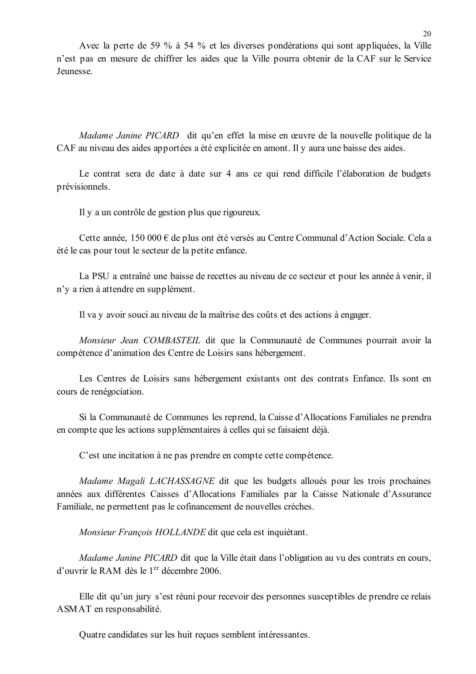Avec la perte de 59 % à 54 % et les diverses pondérations qui sont appliquées, la Ville n'est pas en mesure de chiffrer les aides que la Ville pourra obtenir de la CAF sur le Service Jeunesse.

Madame Janine PICARD dit qu'en effet la mise en œuvre de la nouvelle politique de la CAF au niveau des aides apportées a été explicitée en amont. Il y aura une baisse des aides.

Le contrat sera de date à date sur 4 ans ce qui rend difficile l'élaboration de budgets prévisionnels.

Il y a un contrôle de gestion plus que rigoureux.

Cette année, 150 000 € de plus ont été versés au Centre Communal d'Action Sociale. Cela a été le cas pour tout le secteur de la petite enfance.

La PSU a entraîné une baisse de recettes au niveau de ce secteur et pour les année à venir, il n'y a rien à attendre en supplément.

Il va y avoir souci au niveau de la maîtrise des coûts et des actions à engager.

Monsieur Jean COMBASTEIL dit que la Communauté de Communes pourrait avoir la compétence d'animation des Centre de Loisirs sans hébergement.

Les Centres de Loisirs sans hébergement existants ont des contrats Enfance. Ils sont en cours de renégociation.

Si la Communauté de Communes les reprend, la Caisse d'Allocations Familiales ne prendra en compte que les actions supplémentaires à celles qui se faisaient déjà.

C'est une incitation à ne pas prendre en compte cette compétence.

Madame Magali LACHASSAGNE dit que les budgets alloués pour les trois prochaines années aux différentes Caisses d'Allocations Familiales par la Caisse Nationale d'Assurance Familiale, ne permettent pas le cofinancement de nouvelles crèches.

Monsieur Francois HOLLANDE dit que cela est inquiétant.

Madame Janine PICARD dit que la Ville était dans l'obligation au vu des contrats en cours, d'ouvrir le RAM dès le  $1<sup>er</sup>$  décembre 2006

Elle dit qu'un jury s'est réuni pour recevoir des personnes susceptibles de prendre ce relais ASMAT en responsabilité.

Quatre candidates sur les huit reçues semblent intéressantes.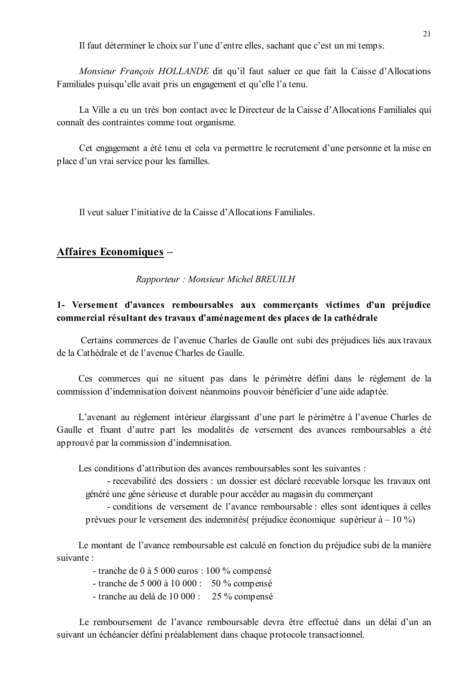Il faut déterminer le choix sur l'une d'entre elles, sachant que c'est un mi temps.

Monsieur François HOLLANDE dit qu'il faut saluer ce que fait la Caisse d'Allocations Familiales puisqu'elle avait pris un engagement et qu'elle l'a tenu.

La Ville a eu un très bon contact avec le Directeur de la Caisse d'Allocations Familiales qui connaît des contraintes comme tout organisme.

Cet engagement a été tenu et cela va permettre le recrutement d'une personne et la mise en place d'un vrai service pour les familles.

Il veut saluer l'initiative de la Caisse d'Allocations Familiales.

## **Affaires Economiques -**

Rapporteur: Monsieur Michel BREUILH

## 1- Versement d'avances remboursables aux commercants victimes d'un préjudice commercial résultant des travaux d'aménagement des places de la cathédrale

Certains commerces de l'avenue Charles de Gaulle ont subi des préjudices liés aux travaux de la Cathédrale et de l'avenue Charles de Gaulle.

Ces commerces qui ne situent pas dans le périmètre défini dans le règlement de la commission d'indemnisation doivent néanmoins pouvoir bénéficier d'une aide adaptée.

L'avenant au règlement intérieur élargissant d'une part le périmètre à l'avenue Charles de Gaulle et fixant d'autre part les modalités de versement des avances remboursables a été approuvé par la commission d'indemnisation.

Les conditions d'attribution des avances remboursables sont les suivantes :

- recevabilité des dossiers : un dossier est déclaré recevable lorsque les travaux ont généré une gêne sérieuse et durable pour accéder au magasin du commerçant

- conditions de versement de l'avance remboursable : elles sont identiques à celles prévues pour le versement des indemnités (préjudice économique supérieur à  $-10\%$ )

Le montant de l'avance remboursable est calculé en fonction du préjudice subi de la manière suivante ·

- tranche de 0 à 5 000 euros : 100 % compensé

- tranche de 5 000 à 10 000 : 50 % compensé
- tranche au delà de 10 000 : 25 % compensé

Le remboursement de l'avance remboursable devra être effectué dans un délai d'un an suivant un échéancier défini préalablement dans chaque protocole transactionnel.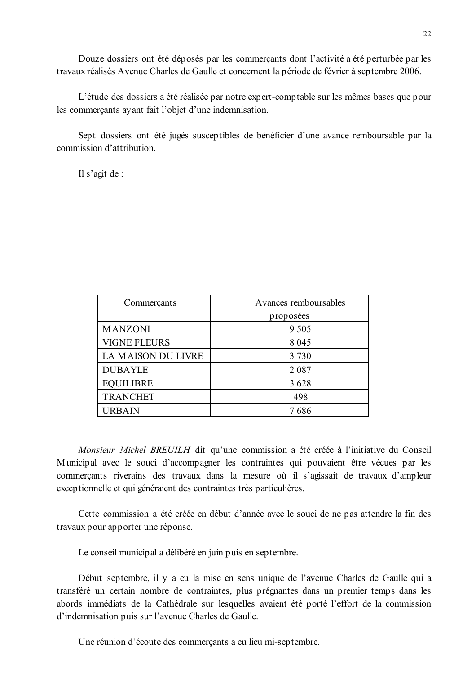Douze dossiers ont été déposés par les commercants dont l'activité a été perturbée par les travaux réalisés Avenue Charles de Gaulle et concernent la période de février à septembre 2006.

L'étude des dossiers a été réalisée par notre expert-comptable sur les mêmes bases que pour les commercants avant fait l'objet d'une indemnisation.

Sept dossiers ont été jugés susceptibles de bénéficier d'une avance remboursable par la commission d'attribution.

Il s'agit de :

| Commerçants         | Avances remboursables |  |
|---------------------|-----------------------|--|
|                     | proposées             |  |
| <b>MANZONI</b>      | 9 5 0 5               |  |
| <b>VIGNE FLEURS</b> | 8 0 4 5               |  |
| LA MAISON DU LIVRE  | 3 7 3 0               |  |
| <b>DUBAYLE</b>      | 2 0 8 7               |  |
| <b>EQUILIBRE</b>    | 3628                  |  |
| <b>TRANCHET</b>     | 498                   |  |
| URBAIN              | 7 686                 |  |

Monsieur Michel BREUILH dit qu'une commission a été créée à l'initiative du Conseil Municipal avec le souci d'accompagner les contraintes qui pouvaient être vécues par les commerçants riverains des travaux dans la mesure où il s'agissait de travaux d'ampleur exceptionnelle et qui généraient des contraintes très particulières.

Cette commission a été créée en début d'année avec le souci de ne pas attendre la fin des travaux pour apporter une réponse.

Le conseil municipal a délibéré en juin puis en septembre.

Début septembre, il y a eu la mise en sens unique de l'avenue Charles de Gaulle qui a transféré un certain nombre de contraintes, plus prégnantes dans un premier temps dans les abords immédiats de la Cathédrale sur lesquelles avaient été porté l'effort de la commission d'indemnisation puis sur l'avenue Charles de Gaulle.

Une réunion d'écoute des commerçants a eu lieu mi-septembre.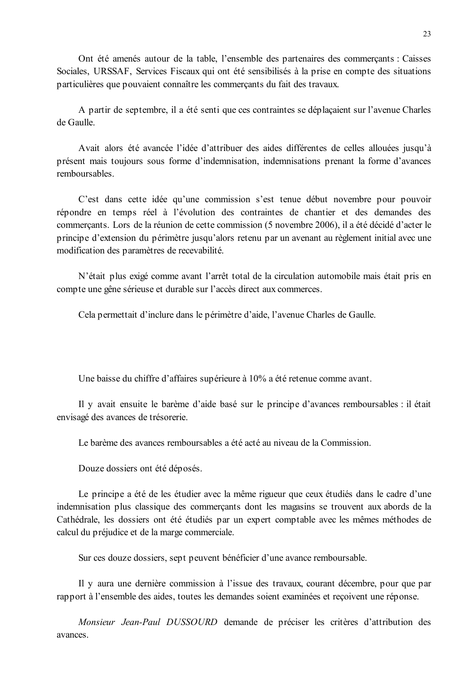Ont été amenés autour de la table, l'ensemble des partenaires des commercants : Caisses Sociales, URSSAF, Services Fiscaux qui ont été sensibilisés à la prise en compte des situations particulières que pouvaient connaître les commercants du fait des travaux.

A partir de septembre, il a été senti que ces contraintes se déplacaient sur l'avenue Charles de Gaulle

Avait alors été avancée l'idée d'attribuer des aides différentes de celles allouées jusqu'à présent mais toujours sous forme d'indemnisation, indemnisations prenant la forme d'avances remboursables

C'est dans cette idée qu'une commission s'est tenue début novembre pour pouvoir répondre en temps réel à l'évolution des contraintes de chantier et des demandes des commercants. Lors de la réunion de cette commission (5 novembre 2006), il a été décidé d'acter le principe d'extension du périmètre jusqu'alors retenu par un avenant au règlement initial avec une modification des paramètres de recevabilité.

N'était plus exigé comme avant l'arrêt total de la circulation automobile mais était pris en compte une gêne sérieuse et durable sur l'accès direct aux commerces.

Cela permettait d'inclure dans le périmètre d'aide, l'avenue Charles de Gaulle.

Une baisse du chiffre d'affaires supérieure à 10% a été retenue comme avant.

Il y avait ensuite le barème d'aide basé sur le principe d'avances remboursables : il était envisagé des avances de trésorerie.

Le barème des avances remboursables a été acté au niveau de la Commission.

Douze dossiers ont été déposés.

Le principe a été de les étudier avec la même rigueur que ceux étudiés dans le cadre d'une indemnisation plus classique des commerçants dont les magasins se trouvent aux abords de la Cathédrale, les dossiers ont été étudiés par un expert comptable avec les mêmes méthodes de calcul du préjudice et de la marge commerciale.

Sur ces douze dossiers, sept peuvent bénéficier d'une avance remboursable.

Il y aura une dernière commission à l'issue des travaux, courant décembre, pour que par rapport à l'ensemble des aides, toutes les demandes soient examinées et reçoivent une réponse.

Monsieur Jean-Paul DUSSOURD demande de préciser les critères d'attribution des avances.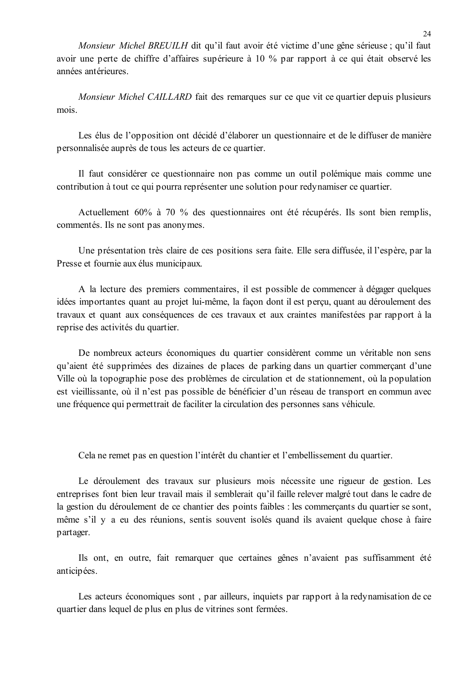Monsieur Michel BREUILH dit qu'il faut avoir été victime d'une gêne sérieuse ; qu'il faut avoir une perte de chiffre d'affaires supérieure à 10 % par rapport à ce qui était observé les années antérieures.

Monsieur Michel CAILLARD fait des remarques sur ce que vit ce quartier depuis plusieurs mois.

Les élus de l'opposition ont décidé d'élaborer un questionnaire et de le diffuser de manière personnalisée auprès de tous les acteurs de ce quartier.

Il faut considérer ce questionnaire non pas comme un outil polémique mais comme une contribution à tout ce qui pourra représenter une solution pour redynamiser ce quartier.

Actuellement 60% à 70 % des questionnaires ont été récupérés. Ils sont bien remplis, commentés. Ils ne sont pas anonymes.

Une présentation très claire de ces positions sera faite. Elle sera diffusée, il l'espère, par la Presse et fournie aux élus municipaux.

A la lecture des premiers commentaires, il est possible de commencer à dégager quelques idées importantes quant au projet lui-même, la façon dont il est perçu, quant au déroulement des travaux et quant aux conséquences de ces travaux et aux craintes manifestées par rapport à la reprise des activités du quartier.

De nombreux acteurs économiques du quartier considèrent comme un véritable non sens qu'aient été supprimées des dizaines de places de parking dans un quartier commercant d'une Ville où la topographie pose des problèmes de circulation et de stationnement, où la population est vieillissante, où il n'est pas possible de bénéficier d'un réseau de transport en commun avec une fréquence qui permettrait de faciliter la circulation des personnes sans véhicule.

Cela ne remet pas en question l'intérêt du chantier et l'embellissement du quartier.

Le déroulement des travaux sur plusieurs mois nécessite une rigueur de gestion. Les entreprises font bien leur travail mais il semblerait qu'il faille relever malgré tout dans le cadre de la gestion du déroulement de ce chantier des points faibles : les commerçants du quartier se sont, même s'il y a eu des réunions, sentis souvent isolés quand ils avaient quelque chose à faire partager.

Ils ont, en outre, fait remarquer que certaines gênes n'avaient pas suffisamment été anticipées.

Les acteurs économiques sont, par ailleurs, inquiets par rapport à la redynamisation de ce quartier dans lequel de plus en plus de vitrines sont fermées.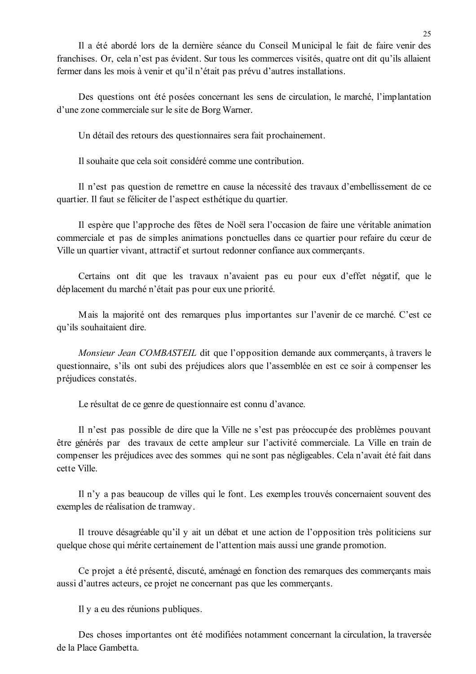Il a été abordé lors de la dernière séance du Conseil Municipal le fait de faire venir des franchises. Or, cela n'est pas évident. Sur tous les commerces visités, quatre ont dit qu'ils allaient fermer dans les mois à venir et qu'il n'était pas prévu d'autres installations.

Des questions ont été posées concernant les sens de circulation, le marché, l'implantation d'une zone commerciale sur le site de Borg Warner.

Un détail des retours des questionnaires sera fait prochainement.

Il souhaite que cela soit considéré comme une contribution.

Il n'est pas question de remettre en cause la nécessité des travaux d'embellissement de ce quartier. Il faut se féliciter de l'aspect esthétique du quartier.

Il espère que l'approche des fêtes de Noël sera l'occasion de faire une véritable animation commerciale et pas de simples animations ponctuelles dans ce quartier pour refaire du cœur de Ville un quartier vivant, attractif et surtout redonner confiance aux commercants.

Certains ont dit que les travaux n'avaient pas eu pour eux d'effet négatif, que le déplacement du marché n'était pas pour eux une priorité.

Mais la majorité ont des remarques plus importantes sur l'avenir de ce marché. C'est ce qu'ils souhaitaient dire.

Monsieur Jean COMBASTEIL dit que l'opposition demande aux commerçants, à travers le questionnaire, s'ils ont subi des préjudices alors que l'assemblée en est ce soir à compenser les préjudices constatés.

Le résultat de ce genre de questionnaire est connu d'avance.

Il n'est pas possible de dire que la Ville ne s'est pas préoccupée des problèmes pouvant être générés par des travaux de cette ampleur sur l'activité commerciale. La Ville en train de compenser les préjudices avec des sommes qui ne sont pas négligeables. Cela n'avait été fait dans cette Ville.

Il n'y a pas beaucoup de villes qui le font. Les exemples trouvés concernaient souvent des exemples de réalisation de tramway.

Il trouve désagréable qu'il y ait un débat et une action de l'opposition très politiciens sur quelque chose qui mérite certainement de l'attention mais aussi une grande promotion.

Ce projet a été présenté, discuté, aménagé en fonction des remarques des commerçants mais aussi d'autres acteurs, ce projet ne concernant pas que les commerçants.

Il y a eu des réunions publiques.

Des choses importantes ont été modifiées notamment concernant la circulation, la traversée de la Place Gambetta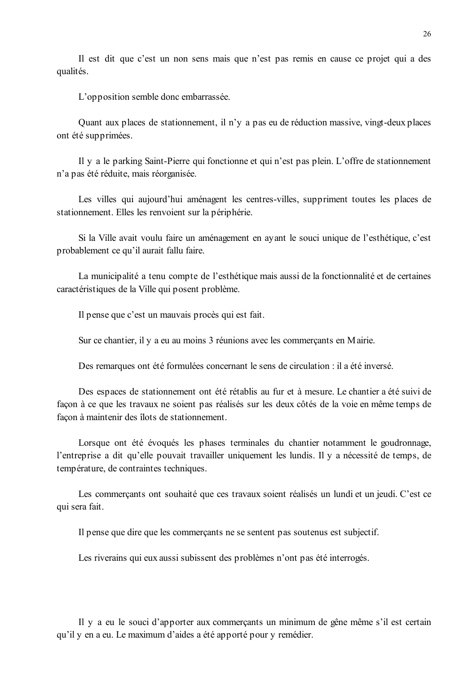Il est dit que c'est un non sens mais que n'est pas remis en cause ce projet qui a des qualités.

L'opposition semble donc embarrassée.

Quant aux places de stationnement, il n'y a pas eu de réduction massive, vingt-deux places ont été supprimées.

Il y a le parking Saint-Pierre qui fonctionne et qui n'est pas plein. L'offre de stationnement n'a pas été réduite, mais réorganisée.

Les villes qui aujourd'hui aménagent les centres-villes, suppriment toutes les places de stationnement. Elles les renvoient sur la périphérie.

Si la Ville avait voulu faire un aménagement en avant le souci unique de l'esthétique, c'est probablement ce qu'il aurait fallu faire.

La municipalité a tenu compte de l'esthétique mais aussi de la fonctionnalité et de certaines caractéristiques de la Ville qui posent problème.

Il pense que c'est un mauvais procès qui est fait.

Sur ce chantier, il y a eu au moins 3 réunions avec les commerçants en Mairie.

Des remarques ont été formulées concernant le sens de circulation : il a été inversé.

Des espaces de stationnement ont été rétablis au fur et à mesure. Le chantier a été suivi de façon à ce que les travaux ne soient pas réalisés sur les deux côtés de la voie en même temps de façon à maintenir des îlots de stationnement.

Lorsque ont été évoqués les phases terminales du chantier notamment le goudronnage. l'entreprise a dit qu'elle pouvait travailler uniquement les lundis. Il y a nécessité de temps, de température, de contraintes techniques.

Les commerçants ont souhaité que ces travaux soient réalisés un lundi et un jeudi. C'est ce qui sera fait.

Il pense que dire que les commercants ne se sentent pas soutenus est subjectif.

Les riverains qui eux aussi subissent des problèmes n'ont pas été interrogés.

Il y a eu le souci d'apporter aux commerçants un minimum de gêne même s'il est certain qu'il y en a eu. Le maximum d'aides a été apporté pour y remédier.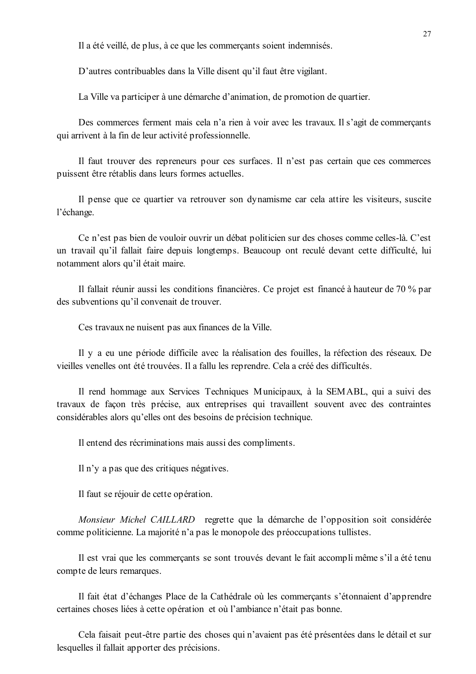Il a été veillé, de plus, à ce que les commerçants soient indemnisés.

D'autres contribuables dans la Ville disent qu'il faut être vigilant.

La Ville va participer à une démarche d'animation, de promotion de quartier.

Des commerces ferment mais cela n'a rien à voir avec les travaux. Il s'agit de commercants qui arrivent à la fin de leur activité professionnelle.

Il faut trouver des repreneurs pour ces surfaces. Il n'est pas certain que ces commerces puissent être rétablis dans leurs formes actuelles.

Il pense que ce quartier va retrouver son dynamisme car cela attire les visiteurs, suscite l'échange.

Ce n'est pas bien de vouloir ouvrir un débat politicien sur des choses comme celles-là. C'est un travail qu'il fallait faire depuis longtemps. Beaucoup ont reculé devant cette difficulté, lui notamment alors qu'il était maire.

Il fallait réunir aussi les conditions financières. Ce projet est financé à hauteur de 70 % par des subventions qu'il convenait de trouver.

Ces travaux ne nuisent pas aux finances de la Ville.

Il y a eu une période difficile avec la réalisation des fouilles, la réfection des réseaux. De vieilles venelles ont été trouvées. Il a fallu les reprendre. Cela a créé des difficultés.

Il rend hommage aux Services Techniques Municipaux, à la SEMABL, qui a suivi des travaux de façon très précise, aux entreprises qui travaillent souvent avec des contraintes considérables alors qu'elles ont des besoins de précision technique.

Il entend des récriminations mais aussi des compliments.

Il n'y a pas que des critiques négatives.

Il faut se réjouir de cette opération.

Monsieur Michel CAILLARD regrette que la démarche de l'opposition soit considérée comme politicienne. La majorité n'a pas le monopole des préoccupations tullistes.

Il est vrai que les commerçants se sont trouvés devant le fait accomplimême s'il a été tenu compte de leurs remarques.

Il fait état d'échanges Place de la Cathédrale où les commerçants s'étonnaient d'apprendre certaines choses liées à cette opération et où l'ambiance n'était pas bonne.

Cela faisait peut-être partie des choses qui n'avaient pas été présentées dans le détail et sur lesquelles il fallait apporter des précisions.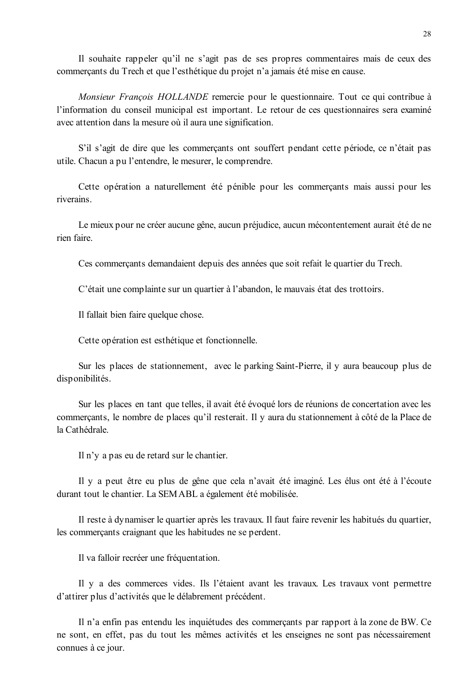Il souhaite rappeler qu'il ne s'agit pas de ses propres commentaires mais de ceux des commerçants du Trech et que l'esthétique du projet n'a jamais été mise en cause.

Monsieur François HOLLANDE remercie pour le questionnaire. Tout ce qui contribue à l'information du conseil municipal est important. Le retour de ces questionnaires sera examiné avec attention dans la mesure où il aura une signification.

S'il s'agit de dire que les commerçants ont souffert pendant cette période, ce n'était pas utile. Chacun a pu l'entendre, le mesurer, le comprendre.

Cette opération a naturellement été pénible pour les commercants mais aussi pour les riverains

Le mieux pour ne créer aucune gêne, aucun préjudice, aucun mécontentement aurait été de ne rien faire

Ces commerçants demandaient depuis des années que soit refait le quartier du Trech.

C'était une complainte sur un quartier à l'abandon, le mauvais état des trottoirs.

Il fallait bien faire quelque chose.

Cette opération est esthétique et fonctionnelle.

Sur les places de stationnement, avec le parking Saint-Pierre, il y aura beaucoup plus de disponibilités.

Sur les places en tant que telles, il avait été évoqué lors de réunions de concertation avec les commercants, le nombre de places qu'il resterait. Il y aura du stationnement à côté de la Place de la Cathédrale.

Il n'y a pas eu de retard sur le chantier.

Il y a peut être eu plus de gêne que cela n'avait été imaginé. Les élus ont été à l'écoute durant tout le chantier. La SEMABL a également été mobilisée.

Il reste à dynamiser le quartier après les travaux. Il faut faire revenir les habitués du quartier, les commercants craignant que les habitudes ne se perdent.

Il va falloir recréer une fréquentation.

Il y a des commerces vides. Ils l'étaient avant les travaux. Les travaux vont permettre d'attirer plus d'activités que le délabrement précédent.

Il n'a enfin pas entendu les inquiétudes des commerçants par rapport à la zone de BW. Ce ne sont, en effet, pas du tout les mêmes activités et les enseignes ne sont pas nécessairement connues à ce jour.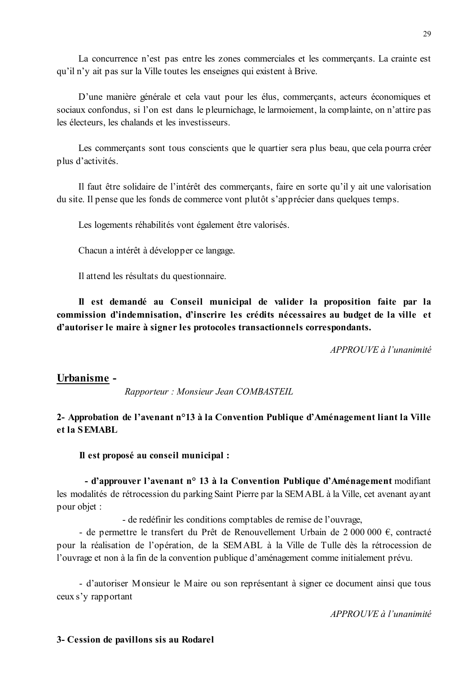La concurrence n'est pas entre les zones commerciales et les commercants. La crainte est qu'il n'y ait pas sur la Ville toutes les enseignes qui existent à Brive.

D'une manière générale et cela vaut pour les élus, commerçants, acteurs économiques et sociaux confondus, si l'on est dans le pleurnichage, le larmoiement, la complainte, on n'attire pas les électeurs, les chalands et les investisseurs.

Les commercants sont tous conscients que le quartier sera plus beau, que cela pourra créer plus d'activités.

Il faut être solidaire de l'intérêt des commerçants, faire en sorte qu'il y ait une valorisation du site. Il pense que les fonds de commerce vont plutôt s'apprécier dans que la verses.

Les logements réhabilités vont également être valorisés.

Chacun a intérêt à développer ce langage.

Il attend les résultats du questionnaire.

Il est demandé au Conseil municipal de valider la proposition faite par la commission d'indemnisation, d'inscrire les crédits nécessaires au budget de la ville et d'autoriser le maire à signer les protocoles transactionnels correspondants.

APPROUVE à l'unanimité

### Urbanisme -

Rapporteur: Monsieur Jean COMBASTEIL

### 2- Approbation de l'avenant n°13 à la Convention Publique d'Aménagement liant la Ville et la SEMABL

Il est proposé au conseil municipal :

- d'approuver l'avenant n° 13 à la Convention Publique d'Aménagement modifiant les modalités de rétrocession du parking Saint Pierre par la SEMABL à la Ville, cet avenant ayant pour objet :

- de redéfinir les conditions comptables de remise de l'ouvrage,

- de permettre le transfert du Prêt de Renouvellement Urbain de 2 000 000  $\epsilon$ , contracté pour la réalisation de l'opération, de la SEMABL à la Ville de Tulle dès la rétrocession de l'ouvrage et non à la fin de la convention publique d'aménagement comme initialement prévu.

- d'autoriser Monsieur le Maire ou son représentant à signer ce document ainsi que tous ceux s'y rapportant

 $APPROIIVE$  à l'unanimité

### 3- Cession de pavillons sis au Rodarel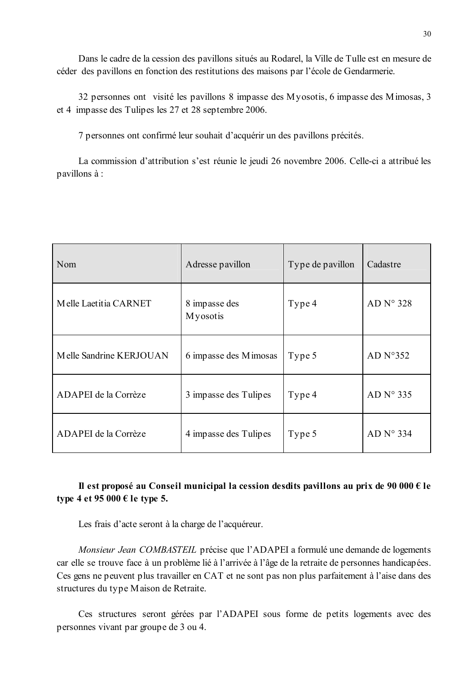Dans le cadre de la cession des pavillons situés au Rodarel, la Ville de Tulle est en mesure de céder des pavillons en fonction des restitutions des maisons par l'école de Gendarmerie.

32 personnes ont visité les pavillons 8 impasse des Myosotis, 6 impasse des Mimosas, 3 et 4 impasse des Tulipes les 27 et 28 septembre 2006.

7 personnes ont confirmé leur souhait d'acquérir un des pavillons précités.

La commission d'attribution s'est réunie le jeudi 26 novembre 2006. Celle-ci a attribué les pavillons à :

| Nom                     | Adresse pavillon                  | Type de pavillon | Cadastre              |
|-------------------------|-----------------------------------|------------------|-----------------------|
| Melle Laetitia CARNET   | 8 impasse des<br><b>My</b> osotis | Type 4           | AD N° 328             |
| Melle Sandrine KERJOUAN | 6 impasse des Mimosas             | Type 5           | AD $N^{\circ}352$     |
| ADAPEI de la Corrèze    | 3 impasse des Tulipes             | Type 4           | AD $N^{\circ}$ 335    |
| ADAPEI de la Corrèze    | 4 impasse des Tulipes             | Type 5           | AD N <sup>o</sup> 334 |

## Il est proposé au Conseil municipal la cession desdits pavillons au prix de 90 000  $\epsilon$  le type 4 et 95 000  $\epsilon$  le type 5.

Les frais d'acte seront à la charge de l'acquéreur.

Monsieur Jean COMBASTEIL précise que l'ADAPEI a formulé une demande de logements car elle se trouve face à un problème lié à l'arrivée à l'âge de la retraite de personnes handicapées. Ces gens ne peuvent plus travailler en CAT et ne sont pas non plus parfaitement à l'aise dans des structures du type Maison de Retraite.

Ces structures seront gérées par l'ADAPEI sous forme de petits logements avec des personnes vivant par groupe de 3 ou 4.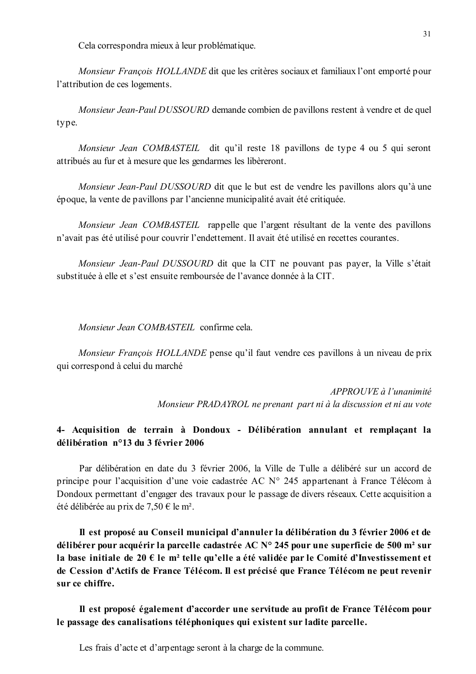Cela correspondra mieux à leur problématique.

Monsieur François HOLLANDE dit que les critères sociaux et familiaux l'ont emporté pour l'attribution de ces logements.

Monsieur Jean-Paul DUSSOURD demande combien de pavillons restent à vendre et de quel type.

Monsieur Jean COMBASTEIL dit qu'il reste 18 pavillons de type 4 ou 5 qui seront attribués au fur et à mesure que les gendarmes les libèreront.

*Monsieur Jean-Paul DUSSOURD* dit que le but est de vendre les pavillons alors qu'à une époque, la vente de pavillons par l'ancienne municipalité avait été critiquée.

Monsieur Jean COMBASTEIL rappelle que l'argent résultant de la vente des pavillons n'avait pas été utilisé pour couvrir l'endettement. Il avait été utilisé en recettes courantes.

Monsieur Jean-Paul DUSSOURD dit que la CIT ne pouvant pas payer, la Ville s'était substituée à elle et s'est ensuite remboursée de l'avance donnée à la CIT.

Monsieur Jean COMBASTEIL confirme cela.

Monsieur François HOLLANDE pense qu'il faut vendre ces pavillons à un niveau de prix qui correspond à celui du marché

> $APPROUVE \d{d} l'unanimit$ Monsieur PRADAYROL ne prenant part ni à la discussion et ni au vote

## 4- Acquisition de terrain à Dondoux - Délibération annulant et remplaçant la délibération n°13 du 3 février 2006

Par délibération en date du 3 février 2006, la Ville de Tulle a délibéré sur un accord de principe pour l'acquisition d'une voie cadastrée AC N° 245 appartenant à France Télécom à Dondoux permettant d'engager des travaux pour le passage de divers réseaux. Cette acquisition a été délibérée au prix de 7,50 € le m<sup>2</sup>.

Il est proposé au Conseil municipal d'annuler la délibération du 3 février 2006 et de délibérer pour acquérir la parcelle cadastrée AC N° 245 pour une superficie de 500 m<sup>2</sup> sur la base initiale de 20  $\epsilon$  le m<sup>2</sup> telle qu'elle a été validée par le Comité d'Investissement et de Cession d'Actifs de France Télécom. Il est précisé que France Télécom ne peut revenir sur ce chiffre.

Il est proposé également d'accorder une servitude au profit de France Télécom pour le passage des canalisations téléphoniques qui existent sur ladite parcelle.

Les frais d'acte et d'arpentage seront à la charge de la commune.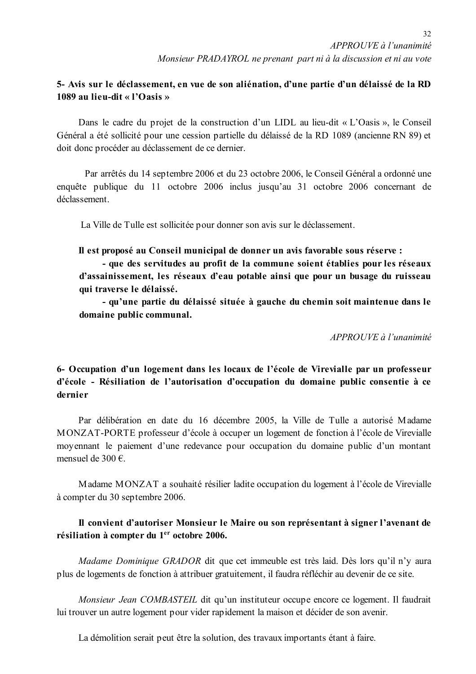## 5- Avis sur le déclassement, en vue de son aliénation, d'une partie d'un délaissé de la RD 1089 au lieu-dit « l'Oasis »

Dans le cadre du projet de la construction d'un LIDL au lieu-dit « L'Oasis », le Conseil Général a été sollicité pour une cession partielle du délaissé de la RD 1089 (ancienne RN 89) et doit donc procéder au déclassement de ce dernier.

Par arrêtés du 14 septembre 2006 et du 23 octobre 2006, le Conseil Général a ordonné une enquête publique du 11 octobre 2006 inclus jusqu'au 31 octobre 2006 concernant de déclassement

La Ville de Tulle est sollicitée pour donner son avis sur le déclassement.

## Il est proposé au Conseil municipal de donner un avis favorable sous réserve :

- que des servitudes au profit de la commune soient établies pour les réseaux d'assainissement, les réseaux d'eau potable ainsi que pour un busage du ruisseau qui traverse le délaissé.

- qu'une partie du délaissé située à gauche du chemin soit maintenue dans le domaine public communal.

APPROUVE à l'unanimité

6- Occupation d'un logement dans les locaux de l'école de Virevialle par un professeur d'école - Résiliation de l'autorisation d'occupation du domaine public consentie à ce dernier

Par délibération en date du 16 décembre 2005, la Ville de Tulle a autorisé Madame MONZAT-PORTE professeur d'école à occuper un logement de fonction à l'école de Virevialle moyennant le paiement d'une redevance pour occupation du domaine public d'un montant mensuel de 300  $\epsilon$ 

Madame MONZAT a souhaité résilier ladite occupation du logement à l'école de Virevialle à compter du 30 septembre 2006.

## Il convient d'autoriser Monsieur le Maire ou son représentant à signer l'avenant de résiliation à compter du 1<sup>er</sup> octobre 2006.

Madame Dominique GRADOR dit que cet immeuble est très laid. Dès lors qu'il n'y aura plus de logements de fonction à attribuer gratuitement, il faudra réfléchir au devenir de ce site.

Monsieur Jean COMBASTEIL dit qu'un instituteur occupe encore ce logement. Il faudrait lui trouver un autre logement pour vider rapidement la maison et décider de son avenir.

La démolition serait peut être la solution, des travaux importants étant à faire.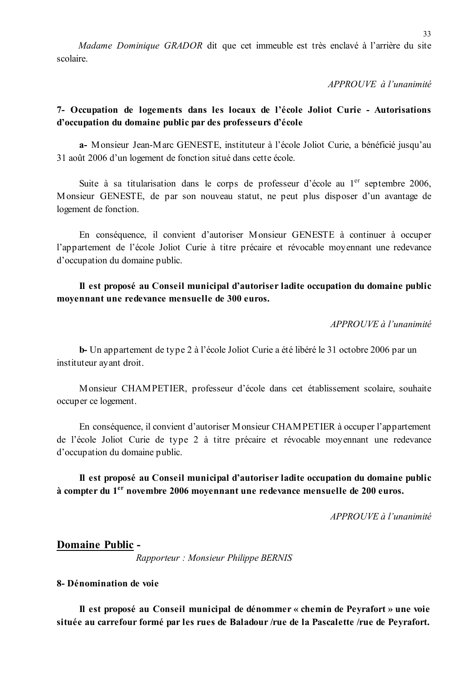Madame Dominique GRADOR dit que cet immeuble est très enclavé à l'arrière du site scolaire

APPROUVE à l'unanimité

## 7- Occupation de logements dans les locaux de l'école Joliot Curie - Autorisations d'occupation du domaine public par des professeurs d'école

a- Monsieur Jean-Marc GENESTE, instituteur à l'école Joliot Curie, a bénéficié jusqu'au 31 août 2006 d'un logement de fonction situé dans cette école.

Suite à sa titularisation dans le corps de professeur d'école au 1<sup>er</sup> septembre 2006, Monsieur GENESTE, de par son nouveau statut, ne peut plus disposer d'un avantage de logement de fonction.

En conséquence, il convient d'autoriser Monsieur GENESTE à continuer à occuper l'appartement de l'école Joliot Curie à titre précaire et révocable moyennant une redevance d'occupation du domaine public.

## Il est proposé au Conseil municipal d'autoriser ladite occupation du domaine public movennant une redevance mensuelle de 300 euros.

 $APPROIIVE \d{d} l'unanimit\acute{e}$ 

b-Un appartement de type 2 à l'école Joliot Curie a été libéré le 31 octobre 2006 par un instituteur ayant droit.

Monsieur CHAMPETIER, professeur d'école dans cet établissement scolaire, souhaite occuper ce logement.

En conséquence, il convient d'autoriser Monsieur CHAMPETIER à occuper l'appartement de l'école Joliot Curie de type 2 à titre précaire et révocable moyennant une redevance d'occupation du domaine public.

Il est proposé au Conseil municipal d'autoriser ladite occupation du domaine public à compter du 1<sup>er</sup> novembre 2006 moyennant une redevance mensuelle de 200 euros.

APPROUVE à l'unanimité

### **Domaine Public -**

Rapporteur : Monsieur Philippe BERNIS

### 8- Dénomination de voie

Il est proposé au Conseil municipal de dénommer « chemin de Peyrafort » une voie située au carrefour formé par les rues de Baladour /rue de la Pascalette /rue de Peyrafort.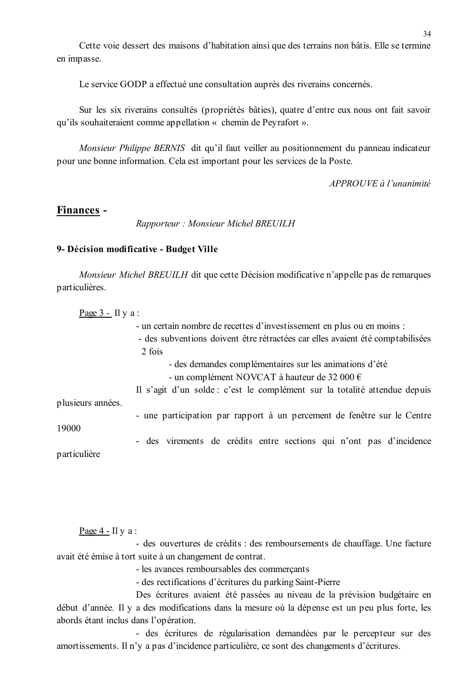Cette voie dessert des maisons d'habitation ainsi que des terrains non bâtis. Elle se termine en impasse.

Le service GODP a effectué une consultation auprès des riverains concernés.

Sur les six riverains consultés (propriétés bâties), quatre d'entre eux nous ont fait savoir qu'ils souhaiteraient comme appellation « chemin de Peyrafort ».

Monsieur Philippe BERNIS dit qu'il faut veiller au positionnement du panneau indicateur pour une bonne information. Cela est important pour les services de la Poste.

APPROUVE à l'unanimité

### Finances -

Rapporteur: Monsieur Michel BREUILH

#### 9- Décision modificative - Budget Ville

Monsieur Michel BREUILH dit que cette Décision modificative n'appelle pas de remarques particulières.

Page  $3 - \text{II} \text{y} \text{a}$ : - un certain nombre de recettes d'investissement en plus ou en moins : - des subventions doivent être rétractées car elles avaient été comptabilisées  $2$  fois - des demandes complémentaires sur les animations d'été - un complément NOVCAT à hauteur de 32 000  $\epsilon$ Il s'agit d'un solde : c'est le complément sur la totalité attendue depuis plusieurs années. - une participation par rapport à un percement de fenêtre sur le Centre 19000 - des virements de crédits entre sections qui n'ont pas d'incidence particulière

Page  $4$  - Il y a :

- des ouvertures de crédits : des remboursements de chauffage. Une facture avait été émise à tort suite à un changement de contrat.

- les avances remboursables des commerçants

- des rectifications d'écritures du parking Saint-Pierre

Des écritures avaient été passées au niveau de la prévision budgétaire en début d'année. Il y a des modifications dans la mesure où la dépense est un peu plus forte, les abords étant inclus dans l'opération.

- des écritures de régularisation demandées par le percepteur sur des amortissements. Il n'y a pas d'incidence particulière, ce sont des changements d'écritures.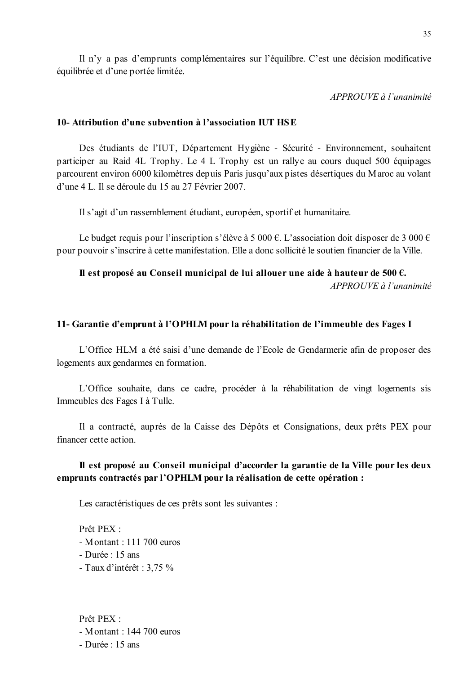Il n'y a pas d'emprunts complémentaires sur l'équilibre. C'est une décision modificative équilibrée et d'une portée limitée.

APPROUVE à l'unanimité

### 10- Attribution d'une subvention à l'association IUT HSE

Des étudiants de l'IUT, Département Hygiène - Sécurité - Environnement, souhaitent participer au Raid 4L Trophy. Le 4 L Trophy est un rallye au cours duquel 500 équipages parcourent environ 6000 kilomètres depuis Paris jusqu'aux pistes désertiques du Maroc au volant d'une 4 L. Il se déroule du 15 au 27 Février 2007.

Il s'agit d'un rassemblement étudiant, européen, sportif et humanitaire.

Le budget requis pour l'inscription s'élève à 5 000 €. L'association doit disposer de 3 000 € pour pouvoir s'inscrire à cette manifestation. Elle a donc sollicité le soutien financier de la Ville.

## Il est proposé au Conseil municipal de lui allouer une aide à hauteur de 500  $\epsilon$ .

 $APPROUVE$ à l'unanimité

#### 11- Garantie d'emprunt à l'OPHLM pour la réhabilitation de l'immeuble des Fages I

L'Office HLM a été saisi d'une demande de l'Ecole de Gendarmerie afin de proposer des logements aux gendarmes en formation.

L'Office souhaite, dans ce cadre, procéder à la réhabilitation de vingt logements sis Immeubles des Fages I à Tulle.

Il a contracté, auprès de la Caisse des Dépôts et Consignations, deux prêts PEX pour financer cette action.

### Il est proposé au Conseil municipal d'accorder la garantie de la Ville pour les deux emprunts contractés par l'OPHLM pour la réalisation de cette opération :

Les caractéristiques de ces prêts sont les suivantes :

Prêt PEX · - Montant :  $111700$  euros - Durée : 15 ans - Taux d'intérêt : 3.75 %

Prêt PEX · - Montant :  $144700$  euros - Durée : 15 ans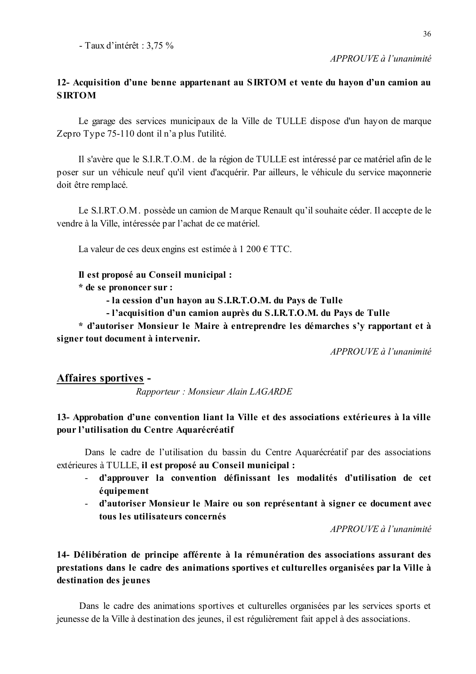### $APPROUVE \d{d} l'unanimit$

### 12- Acquisition d'une benne appartenant au SIRTOM et vente du hayon d'un camion au **SIRTOM**

Le garage des services municipaux de la Ville de TULLE dispose d'un hayon de marque Zepro Type 75-110 dont il n'a plus l'utilité.

Il s'avère que le S.I.R.T.O.M. de la région de TULLE est intéressé par ce matériel afin de le poser sur un véhicule neuf qu'il vient d'acquérir. Par ailleurs, le véhicule du service maconnerie doit être remplacé.

Le S.I.RT.O.M. possède un camion de Marque Renault qu'il souhaite céder. Il accepte de le vendre à la Ville, intéressée par l'achat de ce matériel.

La valeur de ces deux engins est estimée à 1 200  $\epsilon$  TTC.

Il est proposé au Conseil municipal :

\* de se prononcer sur :

- la cession d'un hayon au S.I.R.T.O.M. du Pays de Tulle

- l'acquisition d'un camion auprès du S.I.R.T.O.M. du Pays de Tulle

\* d'autoriser Monsieur le Maire à entreprendre les démarches s'y rapportant et à signer tout document à intervenir.

APPROUVE à l'unanimité

### **Affaires sportives -**

Rapporteur: Monsieur Alain LAGARDE

## 13- Approbation d'une convention liant la Ville et des associations extérieures à la ville pour l'utilisation du Centre Aquarécréatif

Dans le cadre de l'utilisation du bassin du Centre Aquarécréatif par des associations extérieures à TULLE, il est proposé au Conseil municipal :

- d'approuver la convention définissant les modalités d'utilisation de cet  $\omega_{\rm{max}}$ équipement
- d'autoriser Monsieur le Maire ou son représentant à signer ce document avec tous les utilisateurs concernés

APPROUVE à l'unanimité

## 14- Délibération de principe afférente à la rémunération des associations assurant des prestations dans le cadre des animations sportives et culturelles organisées par la Ville à destination des jeunes

Dans le cadre des animations sportives et culturelles organisées par les services sports et jeunesse de la Ville à destination des jeunes, il est régulièrement fait appel à des associations.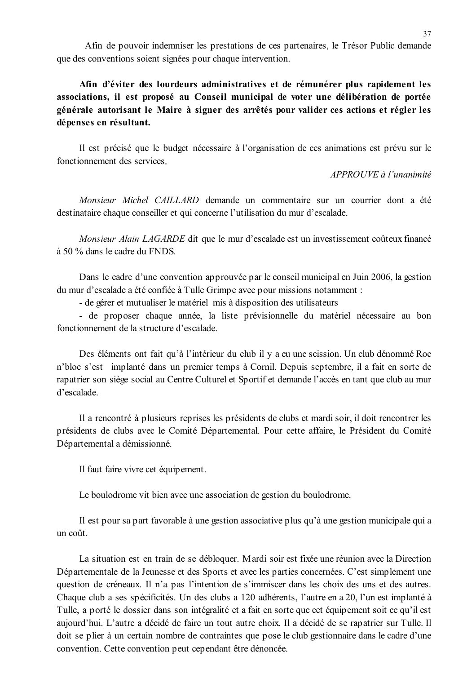Afin de pouvoir indemniser les prestations de ces partenaires, le Trésor Public demande que des conventions soient signées pour chaque intervention.

Afin d'éviter des lourdeurs administratives et de rémunérer plus rapidement les associations, il est proposé au Conseil municipal de voter une délibération de portée générale autorisant le Maire à signer des arrêtés pour valider ces actions et régler les dépenses en résultant.

Il est précisé que le budget nécessaire à l'organisation de ces animations est prévu sur le fonctionnement des services.

APPROUVE à l'unanimité

Monsieur Michel CAILLARD demande un commentaire sur un courrier dont a été destinataire chaque conseiller et qui concerne l'utilisation du mur d'escalade.

Monsieur Alain LAGARDE dit que le mur d'escalade est un investissement coûteux financé à 50 % dans le cadre du FNDS.

Dans le cadre d'une convention approuvée par le conseil municipal en Juin 2006, la gestion du mur d'escalade a été confiée à Tulle Grimpe avec pour missions notamment :

- de gérer et mutualiser le matériel mis à disposition des utilisateurs

- de proposer chaque année, la liste prévisionnelle du matériel nécessaire au bon fonctionnement de la structure d'escalade.

Des éléments ont fait qu'à l'intérieur du club il y a eu une scission. Un club dénommé Roc n'bloc s'est implanté dans un premier temps à Cornil. Depuis septembre, il a fait en sorte de rapatrier son siège social au Centre Culturel et Sportif et demande l'accès en tant que club au mur d'escalade

Il a rencontré à plusieurs reprises les présidents de clubs et mardi soir, il doit rencontrer les présidents de clubs avec le Comité Départemental. Pour cette affaire, le Président du Comité Départemental a démissionné.

Il faut faire vivre cet équipement.

Le boulodrome vit bien avec une association de gestion du boulodrome.

Il est pour sa part favorable à une gestion associative plus qu'à une gestion municipale qui a un coût.

La situation est en train de se débloquer. Mardi soir est fixée une réunion avec la Direction Départementale de la Jeunesse et des Sports et avec les parties concernées. C'est simplement une question de créneaux. Il n'a pas l'intention de s'immiscer dans les choix des uns et des autres. Chaque club a ses spécificités. Un des clubs a 120 adhérents, l'autre en a 20, l'un est implanté à Tulle, a porté le dossier dans son intégralité et a fait en sorte que cet équipement soit ce qu'il est aujourd'hui. L'autre a décidé de faire un tout autre choix. Il a décidé de se rapatrier sur Tulle. Il doit se plier à un certain nombre de contraintes que pose le club gestionnaire dans le cadre d'une convention. Cette convention peut cependant être dénoncée.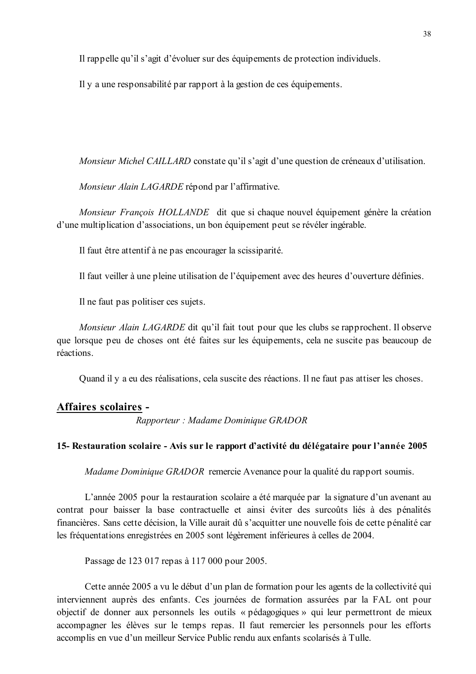Il rappelle qu'il s'agit d'évoluer sur des équipements de protection individuels.

Il y a une responsabilité par rapport à la gestion de ces équipements.

*Monsieur Michel CAILLARD* constate qu'il s'agit d'une question de créneaux d'utilisation.

Monsieur Alain LAGARDE répond par l'affirmative.

Monsieur François HOLLANDE dit que si chaque nouvel équipement génère la création d'une multiplication d'associations, un bon équipement peut se révéler ingérable.

Il faut être attentif à ne pas encourager la scissiparité.

Il faut veiller à une pleine utilisation de l'équipement avec des heures d'ouverture définies.

Il ne faut pas politiser ces sujets.

Monsieur Alain LAGARDE dit qu'il fait tout pour que les clubs se rapprochent. Il observe que lorsque peu de choses ont été faites sur les équipements, cela ne suscite pas beaucoup de réactions.

Quand il y a eu des réalisations, cela suscite des réactions. Il ne faut pas attiser les choses.

### **Affaires scolaires -**

Rapporteur : Madame Dominique GRADOR

#### 15- Restauration scolaire - Avis sur le rapport d'activité du délégataire pour l'année 2005

Madame Dominique GRADOR remercie Avenance pour la qualité du rapport soumis.

L'année 2005 pour la restauration scolaire a été marquée par la signature d'un avenant au contrat pour baisser la base contractuelle et ainsi éviter des surcoûts liés à des pénalités financières. Sans cette décision, la Ville aurait dû s'acquitter une nouvelle fois de cette pénalité car les fréquentations enregistrées en 2005 sont légèrement inférieures à celles de 2004.

Passage de 123 017 repas à 117 000 pour 2005.

Cette année 2005 a vu le début d'un plan de formation pour les agents de la collectivité qui interviennent auprès des enfants. Ces journées de formation assurées par la FAL ont pour objectif de donner aux personnels les outils « pédagogiques » qui leur permettront de mieux accompagner les élèves sur le temps repas. Il faut remercier les personnels pour les efforts accomplis en vue d'un meilleur Service Public rendu aux enfants scolarisés à Tulle.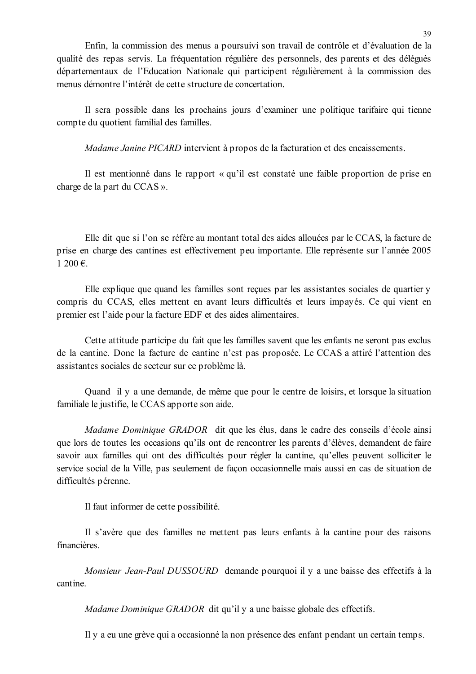Enfin, la commission des menus a poursuivi son travail de contrôle et d'évaluation de la qualité des repas servis. La fréquentation régulière des personnels, des parents et des délégués départementaux de l'Education Nationale qui participent régulièrement à la commission des menus démontre l'intérêt de cette structure de concertation.

Il sera possible dans les prochains jours d'examiner une politique tarifaire qui tienne compte du quotient familial des familles.

*Madame Janine PICARD* intervient à propos de la facturation et des encaissements.

Il est mentionné dans le rapport « qu'il est constaté une faible proportion de prise en charge de la part du CCAS ».

Elle dit que si l'on se réfère au montant total des aides allouées par le CCAS, la facture de prise en charge des cantines est effectivement peu importante. Elle représente sur l'année 2005  $1200 \in$ 

Elle explique que quand les familles sont reçues par les assistantes sociales de quartier y compris du CCAS, elles mettent en avant leurs difficultés et leurs impayés. Ce qui vient en premier est l'aide pour la facture EDF et des aides alimentaires.

Cette attitude participe du fait que les familles savent que les enfants ne seront pas exclus de la cantine. Donc la facture de cantine n'est pas proposée. Le CCAS a attiré l'attention des assistantes sociales de secteur sur ce problème là.

Quand il y a une demande, de même que pour le centre de loisirs, et lorsque la situation familiale le justifie, le CCAS apporte son aide.

Madame Dominique GRADOR dit que les élus, dans le cadre des conseils d'école ainsi que lors de toutes les occasions qu'ils ont de rencontrer les parents d'élèves, demandent de faire savoir aux familles qui ont des difficultés pour régler la cantine, qu'elles peuvent solliciter le service social de la Ville, pas seulement de façon occasionnelle mais aussi en cas de situation de difficultés pérenne.

Il faut informer de cette possibilité.

Il s'avère que des familles ne mettent pas leurs enfants à la cantine pour des raisons financières.

Monsieur Jean-Paul DUSSOURD demande pourquoi il y a une baisse des effectifs à la cantine

*Madame Dominique GRADOR* dit qu'il y a une baisse globale des effectifs.

Il y a eu une grève qui a occasionné la non présence des enfant pendant un certain temps.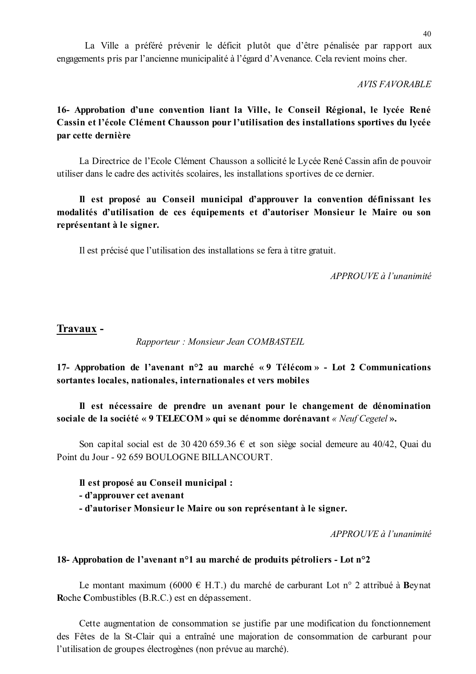La Ville a préféré prévenir le déficit plutôt que d'être pénalisée par rapport aux engagements pris par l'ancienne municipalité à l'égard d'Avenance. Cela revient moins cher.

**AVIS FAVORABLE** 

## 16- Approbation d'une convention liant la Ville, le Conseil Régional, le lycée René Cassin et l'école Clément Chausson pour l'utilisation des installations sportives du lycée par cette dernière

La Directrice de l'Ecole Clément Chausson a sollicité le Lycée René Cassin afin de pouvoir utiliser dans le cadre des activités scolaires, les installations sportives de ce dernier.

## Il est proposé au Conseil municipal d'approuver la convention définissant les modalités d'utilisation de ces équipements et d'autoriser Monsieur le Maire ou son représentant à le signer.

Il est précisé que l'utilisation des installations se fera à titre gratuit.

APPROUVE à l'unanimité

### Travaux -

Rapporteur: Monsieur Jean COMBASTEIL

17- Approbation de l'avenant n°2 au marché «9 Télécom» - Lot 2 Communications sortantes locales, nationales, internationales et vers mobiles

Il est nécessaire de prendre un avenant pour le changement de dénomination sociale de la société « 9 TELECOM » qui se dénomme dorénavant « Neuf Cegetel ».

Son capital social est de 30 420 659.36  $\epsilon$  et son siège social demeure au 40/42, Quai du Point du Jour - 92 659 BOULOGNE BILLANCOURT.

Il est proposé au Conseil municipal :

- d'approuver cet avenant
- d'autoriser Monsieur le Maire ou son représentant à le signer.

APPROUVE à l'unanimité

### 18- Approbation de l'avenant n°1 au marché de produits pétroliers - Lot n°2

Le montant maximum (6000 € H.T.) du marché de carburant Lot n° 2 attribué à Bevnat Roche Combustibles (B.R.C.) est en dépassement.

Cette augmentation de consommation se justifie par une modification du fonctionnement des Fêtes de la St-Clair qui a entraîné une majoration de consommation de carburant pour l'utilisation de groupes électrogènes (non prévue au marché).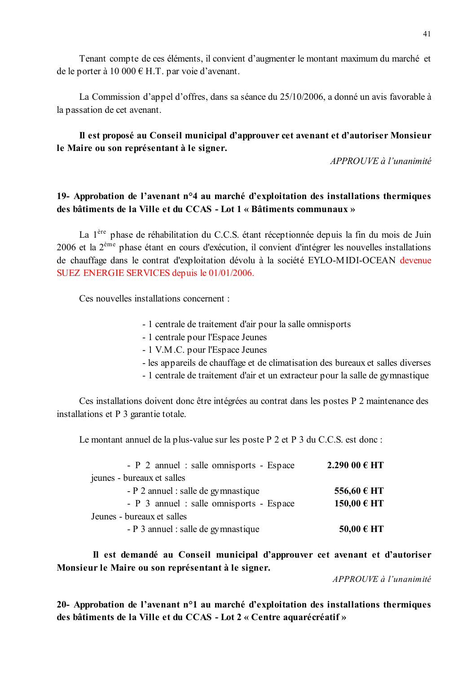Tenant compte de ces éléments, il convient d'augmenter le montant maximum du marché et de le porter à 10 000  $\in$  H.T. par voie d'avenant.

La Commission d'appel d'offres, dans sa séance du 25/10/2006, a donné un avis favorable à la passation de cet avenant.

## Il est proposé au Conseil municipal d'approuver cet avenant et d'autoriser Monsieur le Maire ou son représentant à le signer.

 $APPROUVE \d{d} l'unanimit \d{e}$ 

## 19- Approbation de l'avenant n°4 au marché d'exploitation des installations thermiques des bâtiments de la Ville et du CCAS - Lot 1 « Bâtiments communaux »

La 1<sup>ère</sup> phase de réhabilitation du C.C.S. étant réceptionnée depuis la fin du mois de Juin  $2006$  et la  $2<sup>eme</sup>$  phase étant en cours d'exécution, il convient d'intégrer les nouvelles installations de chauffage dans le contrat d'exploitation dévolu à la société EYLO-MIDI-OCEAN devenue SUEZ ENERGIE SERVICES depuis le 01/01/2006.

Ces nouvelles installations concernent :

- 1 centrale de traitement d'air pour la salle omnisports
- 1 centrale pour l'Espace Jeunes
- 1 V.M.C. pour l'Espace Jeunes
- les appareils de chauffage et de climatisation des bureaux et salles diverses
- 1 centrale de traitement d'air et un extracteur pour la salle de gymnastique

Ces installations doivent donc être intégrées au contrat dans les postes P 2 maintenance des installations et P 3 garantie totale.

Le montant annuel de la plus-value sur les poste P 2 et P 3 du C.C.S. est donc :

| - P 2 annuel : salle omnisports - Espace | 2.290 00 € HT  |  |
|------------------------------------------|----------------|--|
| jeunes - bureaux et salles               |                |  |
| - P 2 annuel : salle de gymnastique      | 556,60 € HT    |  |
| - P 3 annuel : salle omnisports - Espace | 150,00 € HT    |  |
| Jeunes - bureaux et salles               |                |  |
| - P 3 annuel : salle de gymnastique      | $50,00 \in HT$ |  |

Il est demandé au Conseil municipal d'approuver cet avenant et d'autoriser Monsieur le Maire ou son représentant à le signer.

APPROUVE à l'unanimité

20- Approbation de l'avenant n°1 au marché d'exploitation des installations thermiques des bâtiments de la Ville et du CCAS - Lot 2 « Centre aquarécréatif »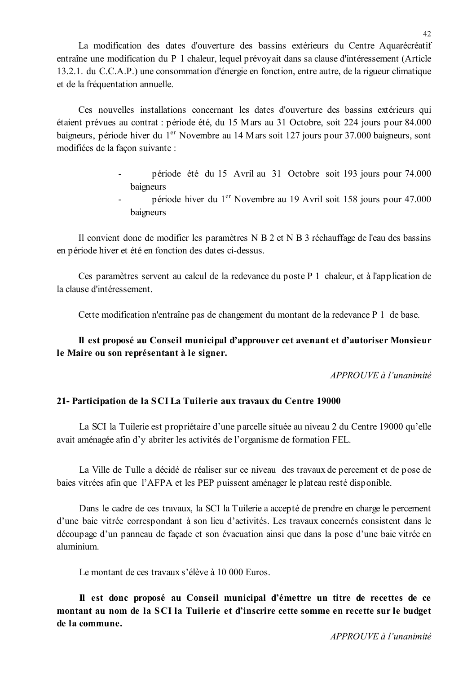La modification des dates d'ouverture des bassins extérieurs du Centre Aquarécréatif entraîne une modification du P 1 chaleur, lequel prévoyait dans sa clause d'intéressement (Article 13.2.1. du C.C.A.P.) une consommation d'énergie en fonction, entre autre, de la rigueur climatique et de la fréquentation annuelle.

Ces nouvelles installations concernant les dates d'ouverture des bassins extérieurs qui étaient prévues au contrat : période été, du 15 Mars au 31 Octobre, soit 224 jours pour 84.000 baigneurs, période hiver du 1<sup>er</sup> Novembre au 14 Mars soit 127 jours pour 37.000 baigneurs, sont modifiées de la façon suivante :

- période été du 15 Avril au 31 Octobre soit 193 jours pour 74.000 baigneurs
- période hiver du 1<sup>er</sup> Novembre au 19 Avril soit 158 jours pour 47.000  $\mathbf{r}$ baigneurs

Il convient donc de modifier les paramètres N B 2 et N B 3 réchauffage de l'eau des bassins en période hiver et été en fonction des dates ci-dessus.

Ces paramètres servent au calcul de la redevance du poste P 1 chaleur, et à l'application de la clause d'intéressement.

Cette modification n'entraîne pas de changement du montant de la redevance P 1 de base.

## Il est proposé au Conseil municipal d'approuver cet avenant et d'autoriser Monsieur le Maire ou son représentant à le signer.

 $APPROIIVE \d{d} l'unanimit \d{e}$ 

## 21- Participation de la SCI La Tuilerie aux travaux du Centre 19000

La SCI la Tuilerie est propriétaire d'une parcelle située au niveau 2 du Centre 19000 qu'elle avait aménagée afin d'y abriter les activités de l'organisme de formation FEL.

La Ville de Tulle a décidé de réaliser sur ce niveau des travaux de percement et de pose de baies vitrées afin que l'AFPA et les PEP puissent aménager le plateau resté disponible.

Dans le cadre de ces travaux, la SCI la Tuilerie a accepté de prendre en charge le percement d'une baie vitrée correspondant à son lieu d'activités. Les travaux concernés consistent dans le découpage d'un panneau de façade et son évacuation ainsi que dans la pose d'une baie vitrée en aluminium

Le montant de ces travaux s'élève à 10 000 Euros.

Il est donc proposé au Conseil municipal d'émettre un titre de recettes de ce montant au nom de la SCI la Tuilerie et d'inscrire cette somme en recette sur le budget de la commune.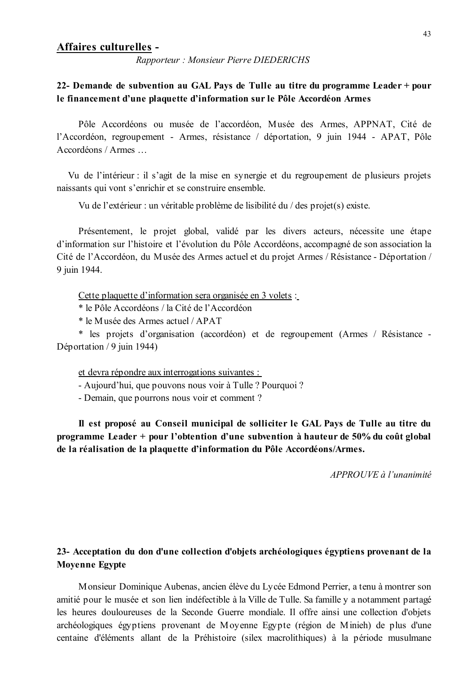#### Affaires culturelles -

Rapporteur: Monsieur Pierre DIEDERICHS

### 22- Demande de subvention au GAL Pays de Tulle au titre du programme Leader + pour le financement d'une plaquette d'information sur le Pôle Accordéon Armes

Pôle Accordéons ou musée de l'accordéon, Musée des Armes, APPNAT, Cité de l'Accordéon, regroupement - Armes, résistance / déportation, 9 juin 1944 - APAT, Pôle Accordéons / Armes ...

Vu de l'intérieur : il s'agit de la mise en synergie et du regroupement de plusieurs projets naissants qui vont s'enrichir et se construire ensemble.

Vu de l'extérieur : un véritable problème de lisibilité du / des projet(s) existe.

Présentement, le projet global, validé par les divers acteurs, nécessite une étape d'information sur l'histoire et l'évolution du Pôle Accordéons, accompagné de son association la Cité de l'Accordéon, du Musée des Armes actuel et du projet Armes / Résistance - Déportation / 9 juin 1944.

Cette plaquette d'information sera organisée en 3 volets :

\* le Pôle Accordéons / la Cité de l'Accordéon

\* le Musée des Armes actuel / APAT

\* les projets d'organisation (accordéon) et de regroupement (Armes / Résistance -Déportation / 9 juin 1944)

et devra répondre aux interrogations suivantes :

- Aujourd'hui, que pouvons nous voir à Tulle ? Pourquoi ?

- Demain, que pourrons nous voir et comment ?

Il est proposé au Conseil municipal de solliciter le GAL Pays de Tulle au titre du programme Leader + pour l'obtention d'une subvention à hauteur de 50% du coût global de la réalisation de la plaquette d'information du Pôle Accordéons/Armes.

 $APPROIIVE$  à l'unanimité

## 23- Acceptation du don d'une collection d'objets archéologiques égyptiens provenant de la **Moyenne Egypte**

Monsieur Dominique Aubenas, ancien élève du Lycée Edmond Perrier, a tenu à montrer son amitié pour le musée et son lien indéfectible à la Ville de Tulle. Sa famille y a notamment partagé les heures douloureuses de la Seconde Guerre mondiale. Il offre ainsi une collection d'objets archéologiques égyptiens provenant de Moyenne Egypte (région de Minieh) de plus d'une centaine d'éléments allant de la Préhistoire (silex macrolithiques) à la période musulmane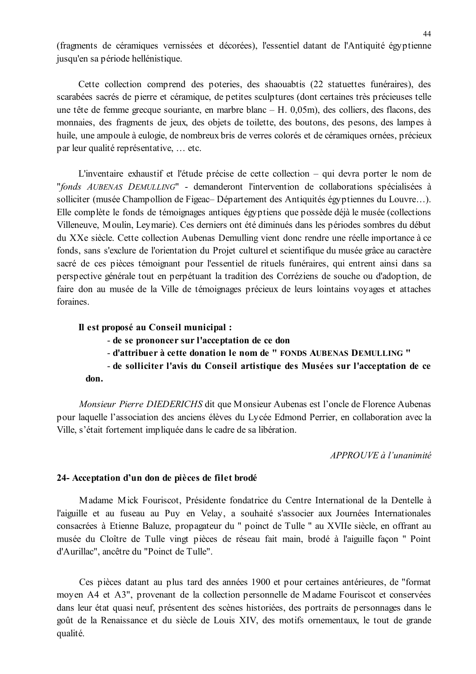(fragments de céramiques vernissées et décorées), l'essentiel datant de l'Antiquité égyptienne jusqu'en sa période hellénistique.

Cette collection comprend des poteries, des shaouabtis (22 statuettes funéraires), des scarabées sacrés de pierre et céramique, de petites sculptures (dont certaines très précieuses telle une tête de femme grecque souriante, en marbre blanc – H. 0,05m), des colliers, des flacons, des monnaies, des fragments de jeux, des objets de toilette, des boutons, des pesons, des lampes à huile, une ampoule à eulogie, de nombreux bris de verres colorés et de céramiques ornées, précieux par leur qualité représentative, ... etc.

L'inventaire exhaustif et l'étude précise de cette collection – qui devra porter le nom de "fonds AUBENAS DEMULLING" - demanderont l'intervention de collaborations spécialisées à solliciter (musée Champollion de Figeac–Département des Antiquités égyptiennes du Louvre...). Elle complète le fonds de témoignages antiques égyptiens que possède déjà le musée (collections Villeneuve, Moulin, Leymarie). Ces derniers ont été diminués dans les périodes sombres du début du XXe siècle. Cette collection Aubenas Demulling vient donc rendre une réelle importance à ce fonds, sans s'exclure de l'orientation du Projet culturel et scientifique du musée grâce au caractère sacré de ces pièces témoignant pour l'essentiel de rituels funéraires, qui entrent ainsi dans sa perspective générale tout en perpétuant la tradition des Corréziens de souche ou d'adoption, de faire don au musée de la Ville de témoignages précieux de leurs lointains voyages et attaches foraines.

#### Il est proposé au Conseil municipal :

- de se prononcer sur l'acceptation de ce don
- d'attribuer à cette donation le nom de " FONDS AUBENAS DEMULLING "
- de solliciter l'avis du Conseil artistique des Musées sur l'acceptation de ce don.

Monsieur Pierre DIEDERICHS dit que Monsieur Aubenas est l'oncle de Florence Aubenas pour laquelle l'association des anciens élèves du Lycée Edmond Perrier, en collaboration avec la Ville, s'était fortement impliquée dans le cadre de sa libération.

APPROUVE à l'unanimité

#### 24- Acceptation d'un don de pièces de filet brodé

Madame Mick Fouriscot, Présidente fondatrice du Centre International de la Dentelle à l'aiguille et au fuseau au Puy en Velay, a souhaité s'associer aux Journées Internationales consacrées à Etienne Baluze, propagateur du " poinct de Tulle " au XVIIe siècle, en offrant au musée du Cloître de Tulle vingt pièces de réseau fait main, brodé à l'aiguille facon " Point d'Aurillac", ancêtre du "Poinct de Tulle".

Ces pièces datant au plus tard des années 1900 et pour certaines antérieures, de "format" moyen A4 et A3", provenant de la collection personnelle de Madame Fouriscot et conservées dans leur état quasi neuf, présentent des scènes historiées, des portraits de personnages dans le goût de la Renaissance et du siècle de Louis XIV, des motifs ornementaux, le tout de grande qualité.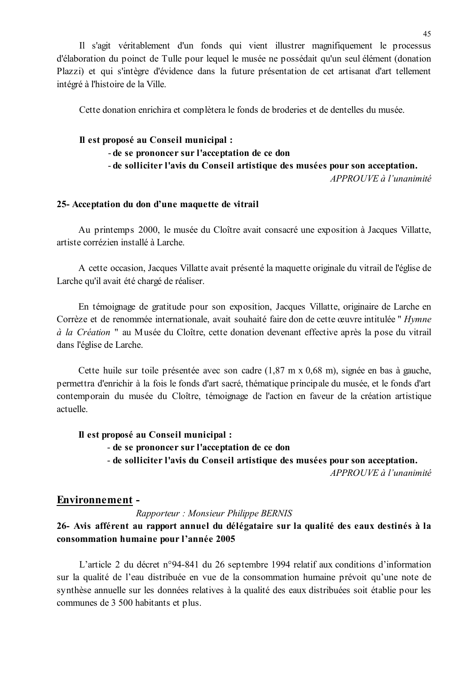Il s'agit véritablement d'un fonds qui vient illustrer magnifiquement le processus d'élaboration du poinct de Tulle pour lequel le musée ne possédait qu'un seul élément (donation Plazzi) et qui s'intègre d'évidence dans la future présentation de cet artisanat d'art tellement intégré à l'histoire de la Ville.

Cette donation enrichira et complètera le fonds de broderies et de dentelles du musée.

## Il est proposé au Conseil municipal :

- de se prononcer sur l'acceptation de ce don

- de solliciter l'avis du Conseil artistique des musées pour son acceptation.

APPROUVE à l'unanimité

#### 25- Acceptation du don d'une maquette de vitrail

Au printemps 2000, le musée du Cloître avait consacré une exposition à Jacques Villatte, artiste corrézien installé à Larche

A cette occasion, Jacques Villatte avait présenté la maquette originale du vitrail de l'église de Larche qu'il avait été chargé de réaliser.

En témoignage de gratitude pour son exposition, Jacques Villatte, originaire de Larche en Corrèze et de renommée internationale, avait souhaité faire don de cette œuvre intitulée " Hymne à la Création " au Musée du Cloître, cette donation devenant effective après la pose du vitrail dans l'église de Larche.

Cette huile sur toile présentée avec son cadre (1,87 m x 0,68 m), signée en bas à gauche, permettra d'enrichir à la fois le fonds d'art sacré, thématique principale du musée, et le fonds d'art contemporain du musée du Cloître, témoignage de l'action en faveur de la création artistique actuelle

### Il est proposé au Conseil municipal :

- de se prononcer sur l'acceptation de ce don

- de solliciter l'avis du Conseil artistique des musées pour son acceptation.

APPROUVE à l'unanimité

#### **Environnement -**

Rapporteur: Monsieur Philippe BERNIS

### 26- Avis afférent au rapport annuel du délégataire sur la qualité des eaux destinés à la consommation humaine pour l'année 2005

L'article 2 du décret n°94-841 du 26 septembre 1994 relatif aux conditions d'information sur la qualité de l'eau distribuée en vue de la consommation humaine prévoit qu'une note de synthèse annuelle sur les données relatives à la qualité des eaux distribuées soit établie pour les communes de 3 500 habitants et plus.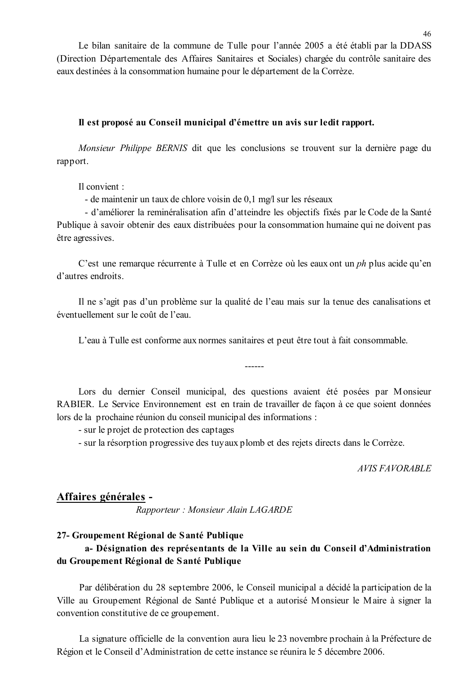Le bilan sanitaire de la commune de Tulle pour l'année 2005 a été établi par la DDASS (Direction Départementale des Affaires Sanitaires et Sociales) chargée du contrôle sanitaire des eaux destinées à la consommation humaine pour le département de la Corrèze.

#### Il est proposé au Conseil municipal d'émettre un avis sur ledit rapport.

Monsieur Philippe BERNIS dit que les conclusions se trouvent sur la dernière page du rapport.

Il convient :

- de maintenir un taux de chlore voisin de 0,1 mg/l sur les réseaux

- d'améliorer la reminéralisation afin d'atteindre les objectifs fixés par le Code de la Santé Publique à savoir obtenir des eaux distribuées pour la consommation humaine qui ne doivent pas être agressives.

C'est une remarque récurrente à Tulle et en Corrèze où les eaux ont un *ph* plus acide qu'en d'autres endroits.

Il ne s'agit pas d'un problème sur la qualité de l'eau mais sur la tenue des canalisations et éventuellement sur le coût de l'eau

L'eau à Tulle est conforme aux normes sanitaires et peut être tout à fait consommable.

Lors du dernier Conseil municipal, des questions avaient été posées par Monsieur RABIER. Le Service Environnement est en train de travailler de façon à ce que soient données lors de la prochaine réunion du conseil municipal des informations :

- sur le projet de protection des captages

- sur la résorption progressive des tuvaux plomb et des rejets directs dans le Corrèze.

**AVIS FAVORABLE** 

### Affaires générales -

Rapporteur : Monsieur Alain LAGARDE

#### 27- Groupement Régional de Santé Publique

## a- Désignation des représentants de la Ville au sein du Conseil d'Administration du Groupement Régional de Santé Publique

Par délibération du 28 septembre 2006, le Conseil municipal a décidé la participation de la Ville au Groupement Régional de Santé Publique et a autorisé Monsieur le Maire à signer la convention constitutive de ce groupement.

La signature officielle de la convention aura lieu le 23 novembre prochain à la Préfecture de Région et le Conseil d'Administration de cette instance se réunira le 5 décembre 2006.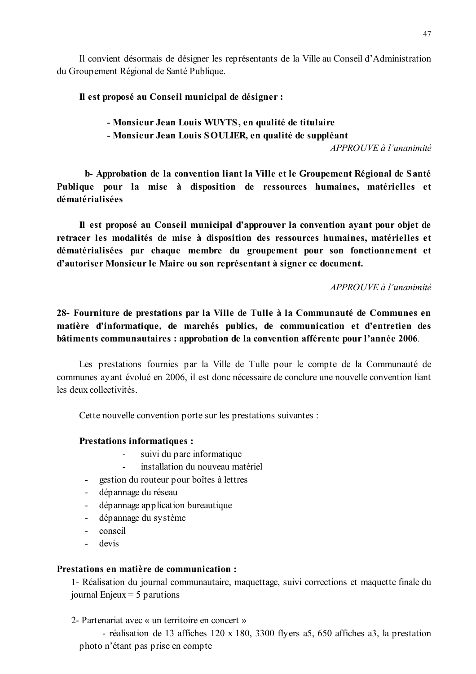Il convient désormais de désigner les représentants de la Ville au Conseil d'Administration du Groupement Régional de Santé Publique.

## Il est proposé au Conseil municipal de désigner :

# - Monsieur Jean Louis WUYTS, en qualité de titulaire

## - Monsieur Jean Louis SOULIER, en qualité de suppléant

APPROUVE à l'unanimité

b-Approbation de la convention liant la Ville et le Groupement Régional de Santé Publique pour la mise à disposition de ressources humaines, matérielles et dématérialisées

Il est proposé au Conseil municipal d'approuver la convention avant pour objet de retracer les modalités de mise à disposition des ressources humaines, matérielles et dématérialisées par chaque membre du groupement pour son fonctionnement et d'autoriser Monsieur le Maire ou son représentant à signer ce document.

APPROUVE à l'unanimité

28- Fourniture de prestations par la Ville de Tulle à la Communauté de Communes en matière d'informatique, de marchés publics, de communication et d'entretien des bâtiments communautaires : approbation de la convention afférente pour l'année 2006.

Les prestations fournies par la Ville de Tulle pour le compte de la Communauté de communes ayant évolué en 2006, il est donc nécessaire de conclure une nouvelle convention liant les deux collectivités.

Cette nouvelle convention porte sur les prestations suivantes :

### **Prestations informatiques:**

- $\mathbb{Z}^{\mathbb{Z}}$ suivi du parc informatique
- installation du nouveau matériel
- gestion du routeur pour boîtes à lettres
- dépannage du réseau
- dépannage application bureautique  $\mathbf{H}^{\text{max}}$
- dépannage du système
- conseil  $\Delta \sim 10^4$
- devis L.

### Prestations en matière de communication :

1- Réalisation du journal communautaire, maquettage, suivi corrections et maquette finale du journal Enjeux  $=$  5 parutions

2- Partenariat avec « un territoire en concert »

- réalisation de 13 affiches 120 x 180, 3300 flyers a5, 650 affiches a3, la prestation photo n'étant pas prise en compte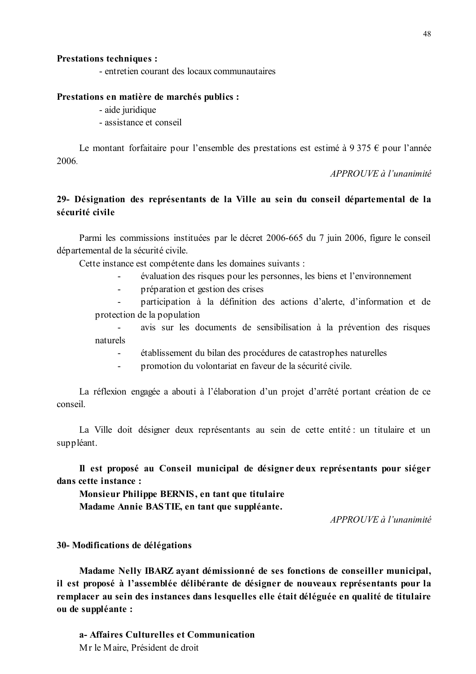#### **Prestations techniques:**

- entretien courant des locaux communautaires

#### Prestations en matière de marchés publics :

- aide juridique

- assistance et conseil

Le montant forfaitaire pour l'ensemble des prestations est estimé à 9 375  $\epsilon$  pour l'année 2006

APPROUVE à l'unanimité

## 29- Désignation des représentants de la Ville au sein du conseil départemental de la sécurité civile

Parmi les commissions instituées par le décret 2006-665 du 7 juin 2006, figure le conseil départemental de la sécurité civile.

Cette instance est compétente dans les domaines suivants :

- évaluation des risques pour les personnes, les biens et l'environnement
- préparation et gestion des crises  $\mathbf{r}$

participation à la définition des actions d'alerte, d'information et de protection de la population

avis sur les documents de sensibilisation à la prévention des risques naturels

- établissement du bilan des procédures de catastrophes naturelles
- promotion du volontariat en faveur de la sécurité civile.  $\mathbf{r}$

La réflexion engagée a abouti à l'élaboration d'un projet d'arrêté portant création de ce conseil.

La Ville doit désigner deux représentants au sein de cette entité : un titulaire et un suppléant.

Il est proposé au Conseil municipal de désigner deux représentants pour siéger dans cette instance :

Monsieur Philippe BERNIS, en tant que titulaire Madame Annie BASTIE, en tant que suppléante.

APPROUVE à l'unanimité

#### 30- Modifications de délégations

Madame Nelly IBARZ avant démissionné de ses fonctions de conseiller municipal, il est proposé à l'assemblée délibérante de désigner de nouveaux représentants pour la remplacer au sein des instances dans lesquelles elle était déléguée en qualité de titulaire ou de suppléante :

a-Affaires Culturelles et Communication Mr le Maire, Président de droit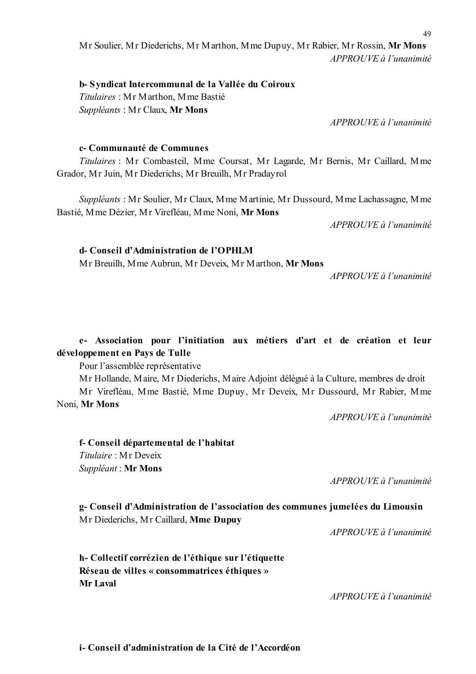## Mr Soulier, Mr Diederichs, Mr Marthon, Mme Dupuy, Mr Rabier, Mr Rossin, Mr Mons  $APPROUVE \d0$  l'unanimité

## b-Syndicat Intercommunal de la Vallée du Coiroux

Titulaires: Mr Marthon, Mme Bastié Suppléants: Mr Claux, Mr Mons

 $APPROUVE \d{d} l'unanimité$ 

### c-Communauté de Communes

Titulaires : Mr Combasteil, Mme Coursat, Mr Lagarde, Mr Bernis, Mr Caillard, Mme Grador, Mr Juin, Mr Diederichs, Mr Breuilh, Mr Pradayrol

Suppléants: Mr Soulier, Mr Claux, Mme Martinie, Mr Dussourd, Mme Lachassagne, Mme Bastié, Mme Dézier, Mr Virefléau, Mme Noni, Mr Mons

 $APPROIIVE$  à l'unanimité

## d- Conseil d'Administration de l'OPHLM

Mr Breuilh, Mme Aubrun, Mr Deveix, Mr Marthon, Mr Mons

APPROUVE à l'unanimité

## e- Association pour l'initiation aux métiers d'art et de création et leur développement en Pays de Tulle

Pour l'assemblée représentative

Mr Hollande, Maire, Mr Diederichs, Maire Adjoint délégué à la Culture, membres de droit

Mr Virefléau, Mme Bastié, Mme Dupuy, Mr Deveix, Mr Dussourd, Mr Rabier, Mme Noni, Mr Mons

APPROUVE à l'unanimité

f- Conseil départemental de l'habitat Titulaire: Mr Deveix Suppléant : Mr Mons

 $APPROIIVE$  à l'unanimité

g- Conseil d'Administration de l'association des communes jumelées du Limousin Mr Diederichs, Mr Caillard, Mme Dupuy

 $APPROUVE \d{d} l'unanimit \d{e}$ 

h-Collectif corrézien de l'éthique sur l'étiquette Réseau de villes « consommatrices éthiques » Mr Laval

APPROUVE à l'unanimité

i-Conseil d'administration de la Cité de l'Accordéon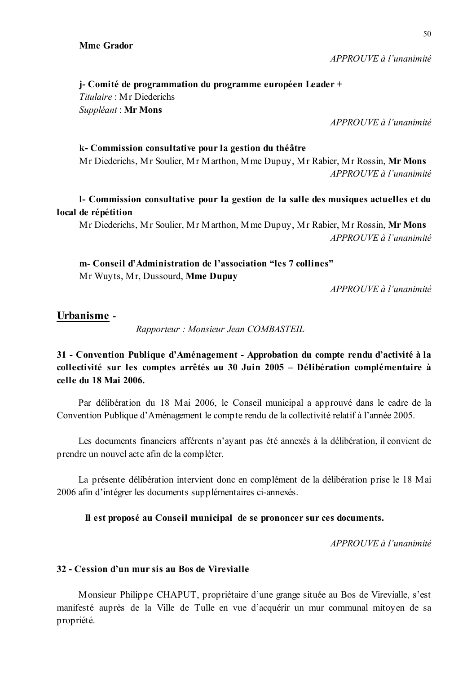$APPROUVE \d{d} l'unanimit$ 

*i*-Comité de programmation du programme européen Leader + Titulaire: Mr Diederichs Suppléant : Mr Mons

 $APPROIIVE \d{d} l'unanimit\acute{e}$ 

#### k-Commission consultative pour la gestion du théâtre

Mr Diederichs, Mr Soulier, Mr Marthon, Mme Dupuy, Mr Rabier, Mr Rossin, Mr Mons  $APPROUVE \d{d} l'unanimit\acute{e}$ 

1- Commission consultative pour la gestion de la salle des musiques actuelles et du local de répétition

Mr Diederichs, Mr Soulier, Mr Marthon, Mme Dupuy, Mr Rabier, Mr Rossin, Mr Mons APPROUVE à l'unanimité

m- Conseil d'Administration de l'association "les 7 collines" Mr Wuyts, Mr. Dussourd, Mme Dupuv

APPROUVE à l'unanimité

### Urbanisme -

Rapporteur: Monsieur Jean COMBASTEIL

## 31 - Convention Publique d'Aménagement - Approbation du compte rendu d'activité à la collectivité sur les comptes arrêtés au 30 Juin 2005 – Délibération complémentaire à celle du 18 Mai 2006.

Par délibération du 18 Mai 2006, le Conseil municipal a approuvé dans le cadre de la Convention Publique d'Aménagement le compte rendu de la collectivité relatif à l'année 2005.

Les documents financiers afférents n'ayant pas été annexés à la délibération, il convient de prendre un nouvel acte afin de la compléter.

La présente délibération intervient donc en complément de la délibération prise le 18 Mai 2006 afin d'intégrer les documents supplémentaires ci-annexés.

#### Il est proposé au Conseil municipal de se prononcer sur ces documents.

APPROUVE à l'unanimité

### 32 - Cession d'un mur sis au Bos de Virevialle

Monsieur Philippe CHAPUT, propriétaire d'une grange située au Bos de Virevialle, s'est manifesté auprès de la Ville de Tulle en vue d'acquérir un mur communal mitoyen de sa propriété.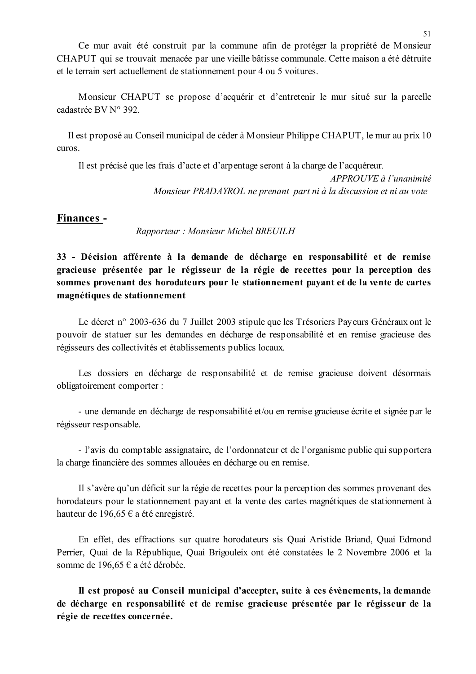Ce mur avait été construit par la commune afin de protéger la propriété de Monsieur CHAPUT qui se trouvait menacée par une vieille bâtisse communale. Cette maison a été détruite et le terrain sert actuellement de stationnement pour 4 ou 5 voitures.

Monsieur CHAPUT se propose d'acquérir et d'entretenir le mur situé sur la parcelle cadastrée BV N° 392.

Il est proposé au Conseil municipal de céder à Monsieur Philippe CHAPUT, le mur au prix 10 euros.

Il est précisé que les frais d'acte et d'arpentage seront à la charge de l'acquéreur.

APPROUVE à l'unanimité Monsieur PRADAYROL ne prenant part ni à la discussion et ni au vote

### Finances -

Rapporteur: Monsieur Michel BREUILH

33 - Décision afférente à la demande de décharge en responsabilité et de remise gracieuse présentée par le régisseur de la régie de recettes pour la perception des sommes provenant des horodateurs pour le stationnement payant et de la vente de cartes magnétiques de stationnement

Le décret n° 2003-636 du 7 Juillet 2003 stipule que les Trésoriers Payeurs Généraux ont le pouvoir de statuer sur les demandes en décharge de responsabilité et en remise gracieuse des régisseurs des collectivités et établissements publics locaux.

Les dossiers en décharge de responsabilité et de remise gracieuse doivent désormais obligatoirement comporter :

- une demande en décharge de responsabilité et/ou en remise gracieuse écrite et signée par le régisseur responsable.

- l'avis du comptable assignataire, de l'ordonnateur et de l'organisme public qui supportera la charge financière des sommes allouées en décharge ou en remise.

Il s'avère qu'un déficit sur la régie de recettes pour la perception des sommes provenant des horodateurs pour le stationnement payant et la vente des cartes magnétiques de stationnement à hauteur de 196,65 € a été enregistré.

En effet, des effractions sur quatre horodateurs sis Quai Aristide Briand, Quai Edmond Perrier, Quai de la République, Quai Brigouleix ont été constatées le 2 Novembre 2006 et la somme de 196,65 € a été dérobée.

Il est proposé au Conseil municipal d'accepter, suite à ces évènements, la demande de décharge en responsabilité et de remise gracieuse présentée par le régisseur de la régie de recettes concernée.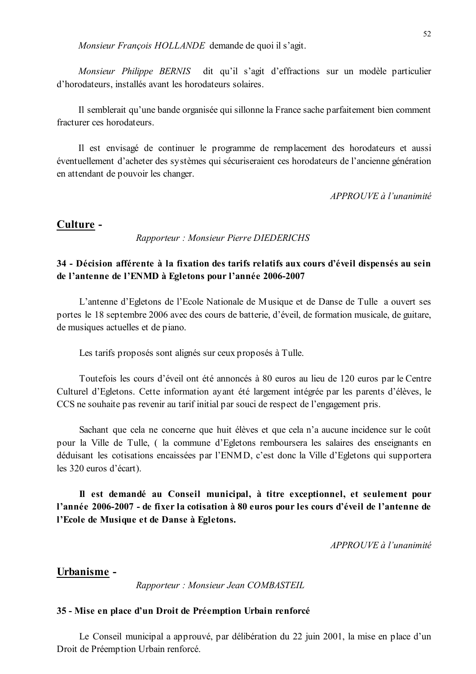Monsieur François HOLLANDE demande de quoi il s'agit.

dit qu'il s'agit d'effractions sur un modèle particulier Monsieur Philippe BERNIS d'horodateurs, installés avant les horodateurs solaires.

Il semblerait qu'une bande organisée qui sillonne la France sache parfaitement bien comment fracturer ces horodateurs

Il est envisagé de continuer le programme de remplacement des horodateurs et aussi éventuellement d'acheter des systèmes qui sécuriseraient ces horodateurs de l'ancienne génération en attendant de pouvoir les changer.

APPROUVE à l'unanimité

#### Culture -

Rapporteur: Monsieur Pierre DIEDERICHS

## 34 - Décision afférente à la fixation des tarifs relatifs aux cours d'éveil dispensés au sein de l'antenne de l'ENMD à Egletons pour l'année 2006-2007

L'antenne d'Egletons de l'Ecole Nationale de Musique et de Danse de Tulle a ouvert ses portes le 18 septembre 2006 avec des cours de batterie, d'éveil, de formation musicale, de guitare, de musiques actuelles et de piano.

Les tarifs proposés sont alignés sur ceux proposés à Tulle.

Toutefois les cours d'éveil ont été annoncés à 80 euros au lieu de 120 euros par le Centre Culturel d'Egletons. Cette information ayant été largement intégrée par les parents d'élèves, le CCS ne souhaite pas revenir au tarif initial par souci de respect de l'engagement pris.

Sachant que cela ne concerne que huit élèves et que cela n'a aucune incidence sur le coût pour la Ville de Tulle, ( la commune d'Egletons remboursera les salaires des enseignants en déduisant les cotisations encaissées par l'ENMD, c'est donc la Ville d'Egletons qui supportera les 320 euros d'écart).

Il est demandé au Conseil municipal, à titre exceptionnel, et seulement pour l'année 2006-2007 - de fixer la cotisation à 80 euros pour les cours d'éveil de l'antenne de l'Ecole de Musique et de Danse à Egletons.

APPROUVE à l'unanimité

#### Urbanisme -

Rapporteur: Monsieur Jean COMBASTEIL

#### 35 - Mise en place d'un Droit de Préemption Urbain renforcé

Le Conseil municipal a approuvé, par délibération du 22 juin 2001, la mise en place d'un Droit de Préemption Urbain renforcé.